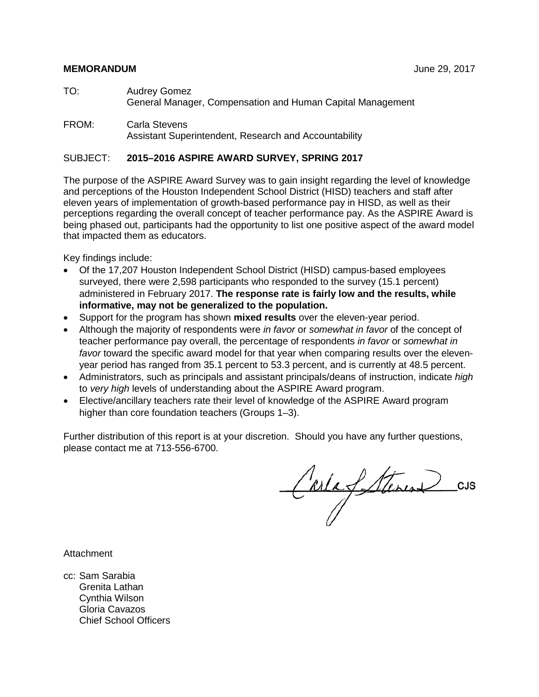#### **MEMORANDUM** June 29, 2017

- TO: Audrey Gomez General Manager, Compensation and Human Capital Management
- FROM: Carla Stevens Assistant Superintendent, Research and Accountability

#### SUBJECT: **2015–2016 ASPIRE AWARD SURVEY, SPRING 2017**

The purpose of the ASPIRE Award Survey was to gain insight regarding the level of knowledge and perceptions of the Houston Independent School District (HISD) teachers and staff after eleven years of implementation of growth-based performance pay in HISD, as well as their perceptions regarding the overall concept of teacher performance pay. As the ASPIRE Award is being phased out, participants had the opportunity to list one positive aspect of the award model that impacted them as educators.

Key findings include:

- Of the 17,207 Houston Independent School District (HISD) campus-based employees surveyed, there were 2,598 participants who responded to the survey (15.1 percent) administered in February 2017. **The response rate is fairly low and the results, while informative, may not be generalized to the population.**
- Support for the program has shown **mixed results** over the eleven-year period.
- Although the majority of respondents were *in favor* or *somewhat in favor* of the concept of teacher performance pay overall, the percentage of respondents *in favor* or *somewhat in*  favor toward the specific award model for that year when comparing results over the elevenyear period has ranged from 35.1 percent to 53.3 percent, and is currently at 48.5 percent.
- Administrators, such as principals and assistant principals/deans of instruction, indicate *high* to *very high* levels of understanding about the ASPIRE Award program.
- Elective/ancillary teachers rate their level of knowledge of the ASPIRE Award program higher than core foundation teachers (Groups 1–3).

Further distribution of this report is at your discretion. Should you have any further questions, please contact me at 713-556-6700.

Carla Stevens CUS

Attachment

cc: Sam Sarabia Grenita Lathan Cynthia Wilson Gloria Cavazos Chief School Officers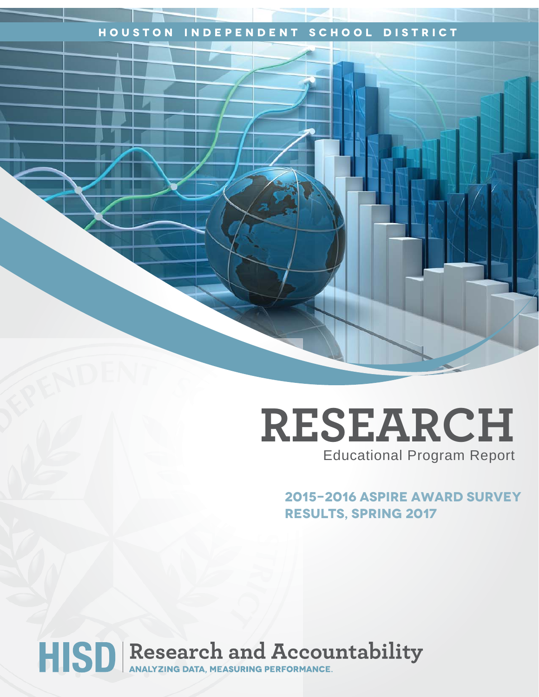## **Houston Independent School District**

## **RESEARCH** Educational Program Report

**2015-2016 ASPIRE Award Survey Results, Spring 2017**

# HISD Research and Accountability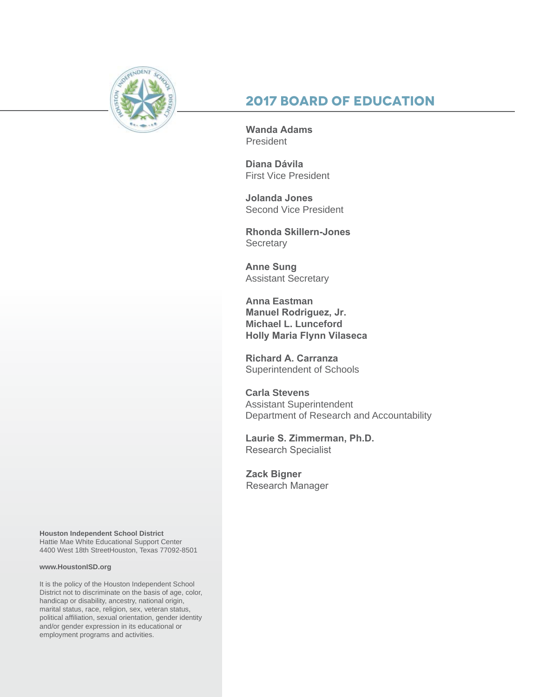

## **2017 Board of Education**

**Wanda Adams** President

**Diana Dávila**  First Vice President

**Jolanda Jones**  Second Vice President

**Rhonda Skillern-Jones Secretary** 

**Anne Sung** Assistant Secretary

**Anna Eastman Manuel Rodriguez, Jr. Michael L. Lunceford Holly Maria Flynn Vilaseca**

**Richard A. Carranza** Superintendent of Schools

**Carla Stevens** Assistant Superintendent Department of Research and Accountability

**Laurie S. Zimmerman, Ph.D.**  Research Specialist

**Zack Bigner** Research Manager

**Houston Independent School District** Hattie Mae White Educational Support Center 4400 West 18th StreetHouston, Texas 77092-8501

#### **www.HoustonISD.org**

It is the policy of the Houston Independent School District not to discriminate on the basis of age, color, handicap or disability, ancestry, national origin, marital status, race, religion, sex, veteran status, political affiliation, sexual orientation, gender identity and/or gender expression in its educational or employment programs and activities.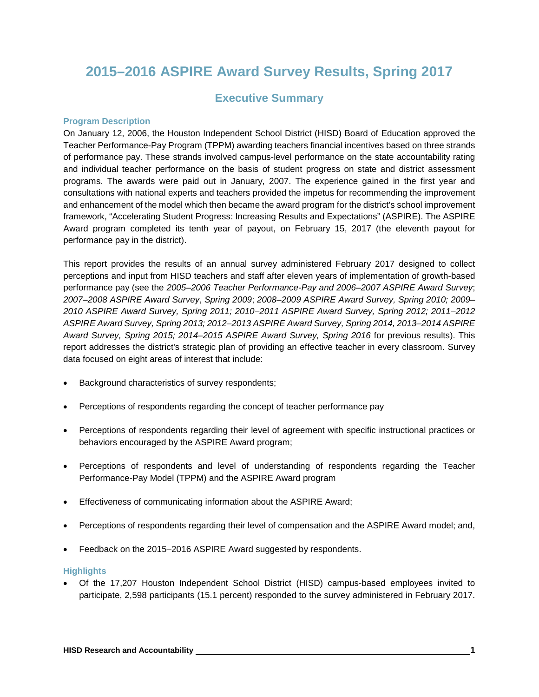## **2015–2016 ASPIRE Award Survey Results, Spring 2017**

## **Executive Summary**

#### **Program Description**

On January 12, 2006, the Houston Independent School District (HISD) Board of Education approved the Teacher Performance-Pay Program (TPPM) awarding teachers financial incentives based on three strands of performance pay. These strands involved campus-level performance on the state accountability rating and individual teacher performance on the basis of student progress on state and district assessment programs. The awards were paid out in January, 2007. The experience gained in the first year and consultations with national experts and teachers provided the impetus for recommending the improvement and enhancement of the model which then became the award program for the district's school improvement framework, "Accelerating Student Progress: Increasing Results and Expectations" (ASPIRE). The ASPIRE Award program completed its tenth year of payout, on February 15, 2017 (the eleventh payout for performance pay in the district).

This report provides the results of an annual survey administered February 2017 designed to collect perceptions and input from HISD teachers and staff after eleven years of implementation of growth-based performance pay (see the *2005–2006 Teacher Performance-Pay and 2006–2007 ASPIRE Award Survey*; *2007–2008 ASPIRE Award Survey*, *Spring 2009*; *2008–2009 ASPIRE Award Survey, Spring 2010; 2009– 2010 ASPIRE Award Survey, Spring 2011; 2010–2011 ASPIRE Award Survey, Spring 2012; 2011–2012 ASPIRE Award Survey, Spring 2013; 2012–2013 ASPIRE Award Survey, Spring 2014, 2013–2014 ASPIRE Award Survey, Spring 2015; 2014–2015 ASPIRE Award Survey, Spring 2016* for previous results). This report addresses the district's strategic plan of providing an effective teacher in every classroom. Survey data focused on eight areas of interest that include:

- Background characteristics of survey respondents;
- Perceptions of respondents regarding the concept of teacher performance pay
- Perceptions of respondents regarding their level of agreement with specific instructional practices or behaviors encouraged by the ASPIRE Award program;
- Perceptions of respondents and level of understanding of respondents regarding the Teacher Performance-Pay Model (TPPM) and the ASPIRE Award program
- Effectiveness of communicating information about the ASPIRE Award;
- Perceptions of respondents regarding their level of compensation and the ASPIRE Award model; and,
- Feedback on the 2015–2016 ASPIRE Award suggested by respondents.

#### **Highlights**

• Of the 17,207 Houston Independent School District (HISD) campus-based employees invited to participate, 2,598 participants (15.1 percent) responded to the survey administered in February 2017.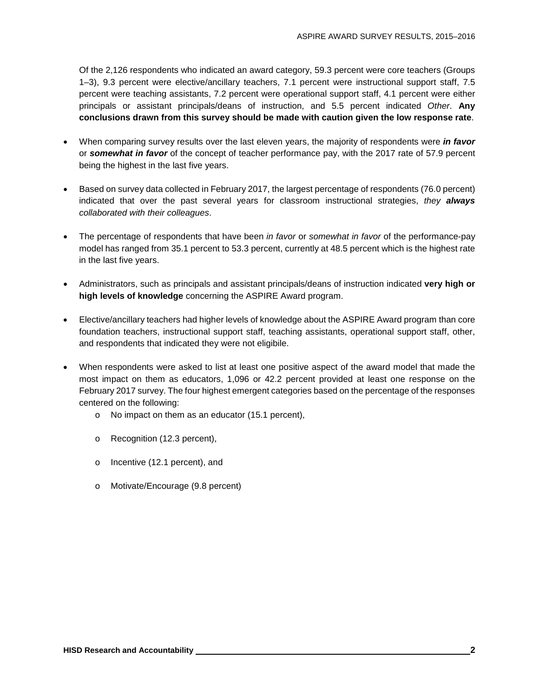Of the 2,126 respondents who indicated an award category, 59.3 percent were core teachers (Groups 1–3), 9.3 percent were elective/ancillary teachers, 7.1 percent were instructional support staff, 7.5 percent were teaching assistants, 7.2 percent were operational support staff, 4.1 percent were either principals or assistant principals/deans of instruction, and 5.5 percent indicated *Other*. **Any conclusions drawn from this survey should be made with caution given the low response rate**.

- When comparing survey results over the last eleven years, the majority of respondents were *in favor* or *somewhat in favor* of the concept of teacher performance pay, with the 2017 rate of 57.9 percent being the highest in the last five years.
- Based on survey data collected in February 2017, the largest percentage of respondents (76.0 percent) indicated that over the past several years for classroom instructional strategies, *they always collaborated with their colleagues*.
- The percentage of respondents that have been *in favor* or *somewhat in favor* of the performance-pay model has ranged from 35.1 percent to 53.3 percent, currently at 48.5 percent which is the highest rate in the last five years.
- Administrators, such as principals and assistant principals/deans of instruction indicated **very high or high levels of knowledge** concerning the ASPIRE Award program.
- Elective/ancillary teachers had higher levels of knowledge about the ASPIRE Award program than core foundation teachers, instructional support staff, teaching assistants, operational support staff, other, and respondents that indicated they were not eligibile.
- When respondents were asked to list at least one positive aspect of the award model that made the most impact on them as educators, 1,096 or 42.2 percent provided at least one response on the February 2017 survey. The four highest emergent categories based on the percentage of the responses centered on the following:
	- o No impact on them as an educator (15.1 percent),
	- o Recognition (12.3 percent),
	- o Incentive (12.1 percent), and
	- o Motivate/Encourage (9.8 percent)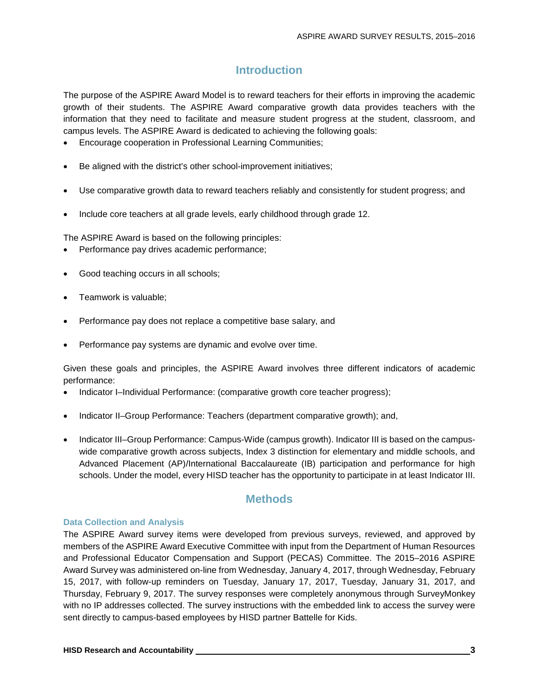## **Introduction**

The purpose of the ASPIRE Award Model is to reward teachers for their efforts in improving the academic growth of their students. The ASPIRE Award comparative growth data provides teachers with the information that they need to facilitate and measure student progress at the student, classroom, and campus levels. The ASPIRE Award is dedicated to achieving the following goals:

- Encourage cooperation in Professional Learning Communities;
- Be aligned with the district's other school-improvement initiatives;
- Use comparative growth data to reward teachers reliably and consistently for student progress; and
- Include core teachers at all grade levels, early childhood through grade 12.

The ASPIRE Award is based on the following principles:

- Performance pay drives academic performance;
- Good teaching occurs in all schools;
- Teamwork is valuable;
- Performance pay does not replace a competitive base salary, and
- Performance pay systems are dynamic and evolve over time.

Given these goals and principles, the ASPIRE Award involves three different indicators of academic performance:

- Indicator I–Individual Performance: (comparative growth core teacher progress);
- Indicator II–Group Performance: Teachers (department comparative growth); and,
- Indicator III–Group Performance: Campus-Wide (campus growth). Indicator III is based on the campuswide comparative growth across subjects, Index 3 distinction for elementary and middle schools, and Advanced Placement (AP)/International Baccalaureate (IB) participation and performance for high schools. Under the model, every HISD teacher has the opportunity to participate in at least Indicator III.

## **Methods**

#### **Data Collection and Analysis**

The ASPIRE Award survey items were developed from previous surveys, reviewed, and approved by members of the ASPIRE Award Executive Committee with input from the Department of Human Resources and Professional Educator Compensation and Support (PECAS) Committee. The 2015–2016 ASPIRE Award Survey was administered on-line from Wednesday, January 4, 2017, through Wednesday, February 15, 2017, with follow-up reminders on Tuesday, January 17, 2017, Tuesday, January 31, 2017, and Thursday, February 9, 2017. The survey responses were completely anonymous through SurveyMonkey with no IP addresses collected. The survey instructions with the embedded link to access the survey were sent directly to campus-based employees by HISD partner Battelle for Kids.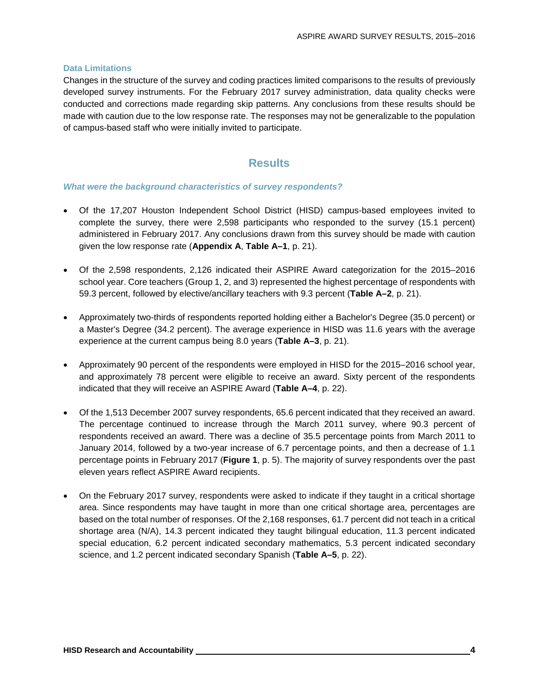#### **Data Limitations**

Changes in the structure of the survey and coding practices limited comparisons to the results of previously developed survey instruments. For the February 2017 survey administration, data quality checks were conducted and corrections made regarding skip patterns. Any conclusions from these results should be made with caution due to the low response rate. The responses may not be generalizable to the population of campus-based staff who were initially invited to participate.

## **Results**

#### *What were the background characteristics of survey respondents?*

- Of the 17,207 Houston Independent School District (HISD) campus-based employees invited to complete the survey, there were 2,598 participants who responded to the survey (15.1 percent) administered in February 2017. Any conclusions drawn from this survey should be made with caution given the low response rate (**Appendix A**, **Table A–1**, p. 21).
- Of the 2,598 respondents, 2,126 indicated their ASPIRE Award categorization for the 2015–2016 school year. Core teachers (Group 1, 2, and 3) represented the highest percentage of respondents with 59.3 percent, followed by elective/ancillary teachers with 9.3 percent (**Table A–2**, p. 21).
- Approximately two-thirds of respondents reported holding either a Bachelor's Degree (35.0 percent) or a Master's Degree (34.2 percent). The average experience in HISD was 11.6 years with the average experience at the current campus being 8.0 years (**Table A–3**, p. 21).
- Approximately 90 percent of the respondents were employed in HISD for the 2015–2016 school year, and approximately 78 percent were eligible to receive an award. Sixty percent of the respondents indicated that they will receive an ASPIRE Award (**Table A–4**, p. 22).
- Of the 1,513 December 2007 survey respondents, 65.6 percent indicated that they received an award. The percentage continued to increase through the March 2011 survey, where 90.3 percent of respondents received an award. There was a decline of 35.5 percentage points from March 2011 to January 2014, followed by a two-year increase of 6.7 percentage points, and then a decrease of 1.1 percentage points in February 2017 (**Figure 1**, p. 5). The majority of survey respondents over the past eleven years reflect ASPIRE Award recipients.
- On the February 2017 survey, respondents were asked to indicate if they taught in a critical shortage area. Since respondents may have taught in more than one critical shortage area, percentages are based on the total number of responses. Of the 2,168 responses, 61.7 percent did not teach in a critical shortage area (N/A), 14.3 percent indicated they taught bilingual education, 11.3 percent indicated special education, 6.2 percent indicated secondary mathematics, 5.3 percent indicated secondary science, and 1.2 percent indicated secondary Spanish (**Table A–5**, p. 22).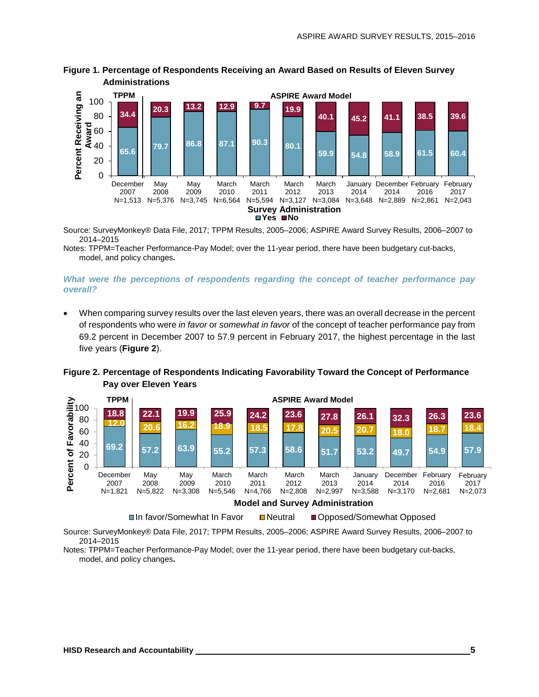

**Figure 1. Percentage of Respondents Receiving an Award Based on Results of Eleven Survey Administrations**

Source: SurveyMonkey® Data File, 2017; TPPM Results, 2005–2006; ASPIRE Award Survey Results, 2006–2007 to 2014–2015

Notes: TPPM=Teacher Performance-Pay Model; over the 11-year period, there have been budgetary cut-backs, model, and policy changes**.**

#### *What were the perceptions of respondents regarding the concept of teacher performance pay overall?*

• When comparing survey results over the last eleven years, there was an overall decrease in the percent of respondents who were *in favor* or *somewhat in favor* of the concept of teacher performance pay from 69.2 percent in December 2007 to 57.9 percent in February 2017, the highest percentage in the last five years (**Figure 2**).



**Figure 2. Percentage of Respondents Indicating Favorability Toward the Concept of Performance Pay over Eleven Years**

Source: SurveyMonkey® Data File, 2017; TPPM Results, 2005–2006; ASPIRE Award Survey Results, 2006–2007 to 2014–2015

Notes: TPPM=Teacher Performance-Pay Model; over the 11-year period, there have been budgetary cut-backs, model, and policy changes**.**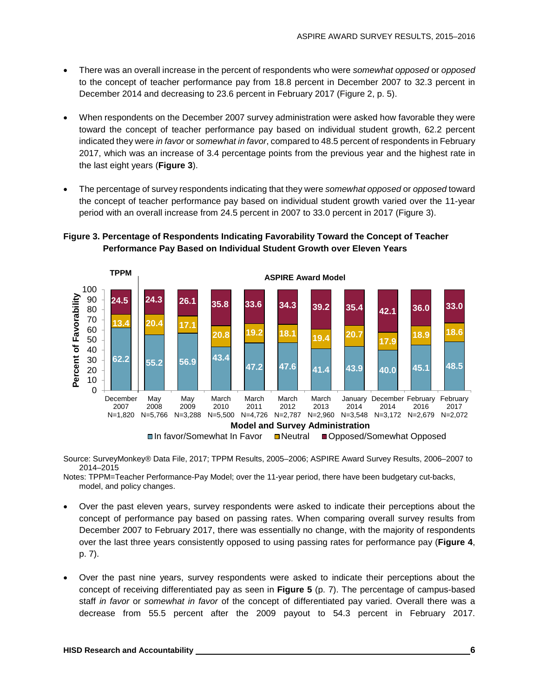- There was an overall increase in the percent of respondents who were *somewhat opposed* or *opposed* to the concept of teacher performance pay from 18.8 percent in December 2007 to 32.3 percent in December 2014 and decreasing to 23.6 percent in February 2017 (Figure 2, p. 5).
- When respondents on the December 2007 survey administration were asked how favorable they were toward the concept of teacher performance pay based on individual student growth, 62.2 percent indicated they were *in favor* or *somewhat in favor*, compared to 48.5 percent of respondents in February 2017, which was an increase of 3.4 percentage points from the previous year and the highest rate in the last eight years (**Figure 3**).
- The percentage of survey respondents indicating that they were *somewhat opposed* or *opposed* toward the concept of teacher performance pay based on individual student growth varied over the 11-year period with an overall increase from 24.5 percent in 2007 to 33.0 percent in 2017 (Figure 3).

#### **Figure 3. Percentage of Respondents Indicating Favorability Toward the Concept of Teacher Performance Pay Based on Individual Student Growth over Eleven Years**



Source: SurveyMonkey® Data File, 2017; TPPM Results, 2005–2006; ASPIRE Award Survey Results, 2006–2007 to 2014–2015

Notes: TPPM=Teacher Performance-Pay Model; over the 11-year period, there have been budgetary cut-backs, model, and policy changes.

- Over the past eleven years, survey respondents were asked to indicate their perceptions about the concept of performance pay based on passing rates. When comparing overall survey results from December 2007 to February 2017, there was essentially no change, with the majority of respondents over the last three years consistently opposed to using passing rates for performance pay (**Figure 4**, p. 7).
- Over the past nine years, survey respondents were asked to indicate their perceptions about the concept of receiving differentiated pay as seen in **Figure 5** (p. 7). The percentage of campus-based staff *in favor* or *somewhat in favor* of the concept of differentiated pay varied. Overall there was a decrease from 55.5 percent after the 2009 payout to 54.3 percent in February 2017.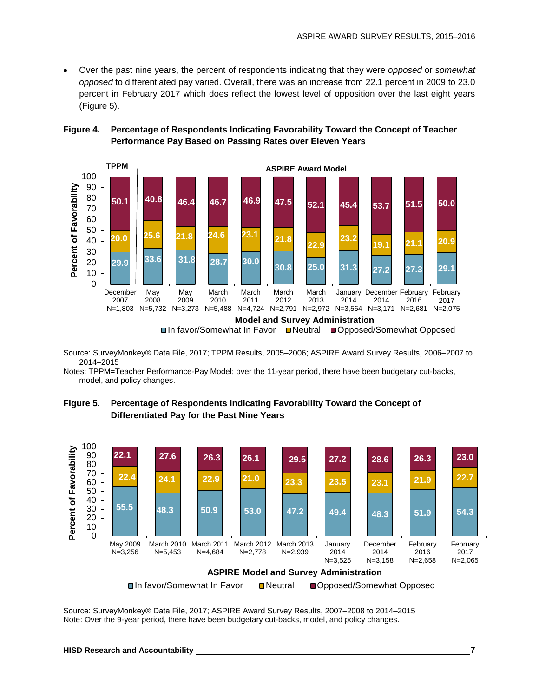• Over the past nine years, the percent of respondents indicating that they were *opposed* or *somewhat opposed* to differentiated pay varied. Overall, there was an increase from 22.1 percent in 2009 to 23.0 percent in February 2017 which does reflect the lowest level of opposition over the last eight years (Figure 5).

#### **Figure 4. Percentage of Respondents Indicating Favorability Toward the Concept of Teacher Performance Pay Based on Passing Rates over Eleven Years**



Source: SurveyMonkey® Data File, 2017; TPPM Results, 2005–2006; ASPIRE Award Survey Results, 2006–2007 to 2014–2015

Notes: TPPM=Teacher Performance-Pay Model; over the 11-year period, there have been budgetary cut-backs, model, and policy changes.





Source: SurveyMonkey® Data File, 2017; ASPIRE Award Survey Results, 2007–2008 to 2014–2015 Note: Over the 9-year period, there have been budgetary cut-backs, model, and policy changes.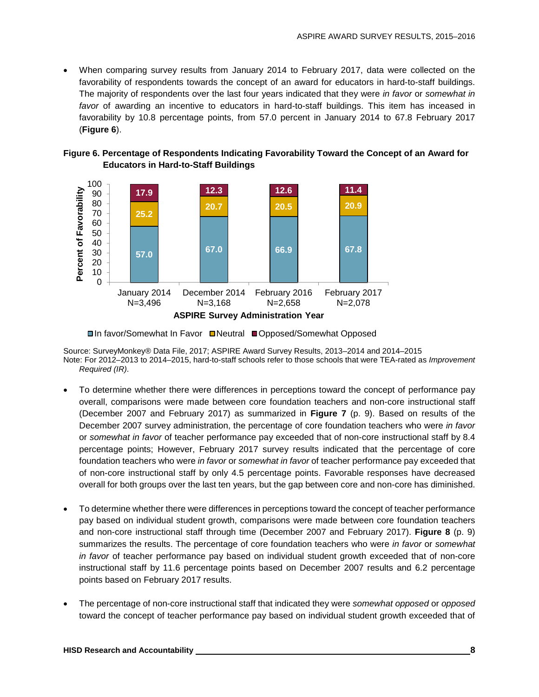• When comparing survey results from January 2014 to February 2017, data were collected on the favorability of respondents towards the concept of an award for educators in hard-to-staff buildings. The majority of respondents over the last four years indicated that they were *in favor* or *somewhat in favor* of awarding an incentive to educators in hard-to-staff buildings. This item has inceased in favorability by 10.8 percentage points, from 57.0 percent in January 2014 to 67.8 February 2017 (**Figure 6**).





**□In favor/Somewhat In Favor □Neutral ■Opposed/Somewhat Opposed** 

Source: SurveyMonkey® Data File, 2017; ASPIRE Award Survey Results, 2013–2014 and 2014–2015 Note: For 2012–2013 to 2014–2015, hard-to-staff schools refer to those schools that were TEA-rated as *Improvement Required (IR)*.

- To determine whether there were differences in perceptions toward the concept of performance pay overall, comparisons were made between core foundation teachers and non-core instructional staff (December 2007 and February 2017) as summarized in **Figure 7** (p. 9). Based on results of the December 2007 survey administration, the percentage of core foundation teachers who were *in favor* or *somewhat in favor* of teacher performance pay exceeded that of non-core instructional staff by 8.4 percentage points; However, February 2017 survey results indicated that the percentage of core foundation teachers who were *in favor* or *somewhat in favor* of teacher performance pay exceeded that of non-core instructional staff by only 4.5 percentage points. Favorable responses have decreased overall for both groups over the last ten years, but the gap between core and non-core has diminished.
- To determine whether there were differences in perceptions toward the concept of teacher performance pay based on individual student growth, comparisons were made between core foundation teachers and non-core instructional staff through time (December 2007 and February 2017). **Figure 8** (p. 9) summarizes the results. The percentage of core foundation teachers who were *in favor* or *somewhat in favor* of teacher performance pay based on individual student growth exceeded that of non-core instructional staff by 11.6 percentage points based on December 2007 results and 6.2 percentage points based on February 2017 results.
- The percentage of non-core instructional staff that indicated they were *somewhat opposed* or *opposed* toward the concept of teacher performance pay based on individual student growth exceeded that of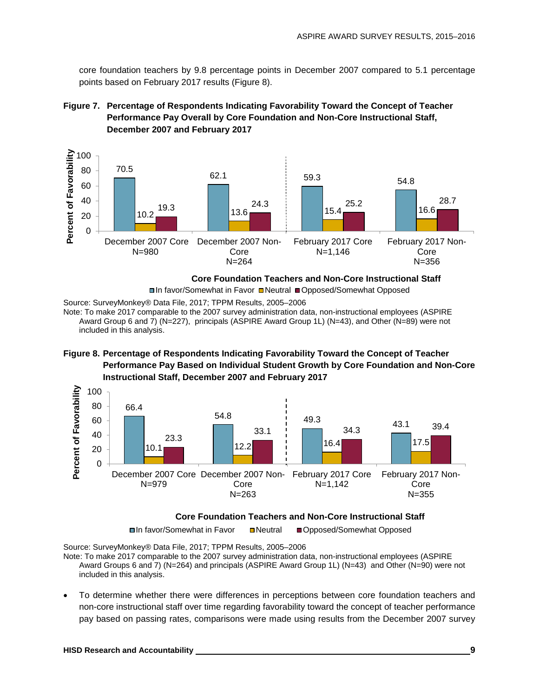core foundation teachers by 9.8 percentage points in December 2007 compared to 5.1 percentage points based on February 2017 results (Figure 8).





**Core Foundation Teachers and Non-Core Instructional Staff**

□In favor/Somewhat in Favor ■Neutral ■Opposed/Somewhat Opposed

Source: SurveyMonkey® Data File, 2017; TPPM Results, 2005–2006

Note: To make 2017 comparable to the 2007 survey administration data, non-instructional employees (ASPIRE Award Group 6 and 7) (N=227), principals (ASPIRE Award Group 1L) (N=43), and Other (N=89) were not included in this analysis.





#### **Core Foundation Teachers and Non-Core Instructional Staff**

**□In favor/Somewhat in Favor ID Neutral ID Opposed/Somewhat Opposed** 

Source: SurveyMonkey® Data File, 2017; TPPM Results, 2005–2006

Note: To make 2017 comparable to the 2007 survey administration data, non-instructional employees (ASPIRE Award Groups 6 and 7) (N=264) and principals (ASPIRE Award Group 1L) (N=43) and Other (N=90) were not included in this analysis.

• To determine whether there were differences in perceptions between core foundation teachers and non-core instructional staff over time regarding favorability toward the concept of teacher performance pay based on passing rates, comparisons were made using results from the December 2007 survey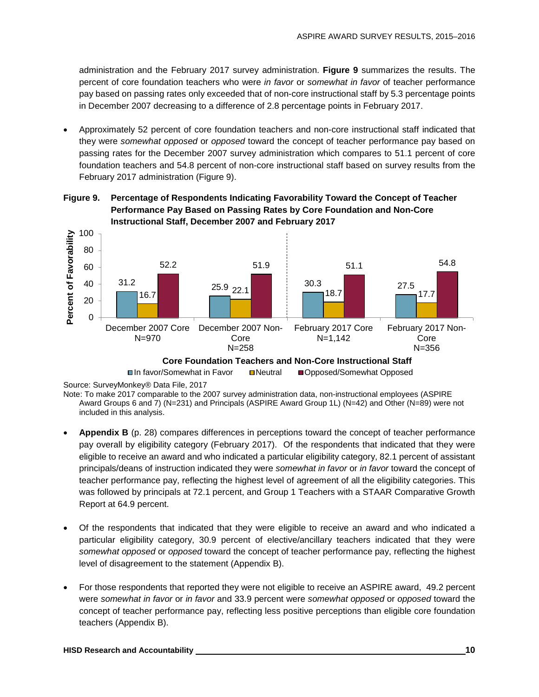administration and the February 2017 survey administration. **Figure 9** summarizes the results. The percent of core foundation teachers who were *in favor* or *somewhat in favor* of teacher performance pay based on passing rates only exceeded that of non-core instructional staff by 5.3 percentage points in December 2007 decreasing to a difference of 2.8 percentage points in February 2017.

• Approximately 52 percent of core foundation teachers and non-core instructional staff indicated that they were *somewhat opposed* or *opposed* toward the concept of teacher performance pay based on passing rates for the December 2007 survey administration which compares to 51.1 percent of core foundation teachers and 54.8 percent of non-core instructional staff based on survey results from the February 2017 administration (Figure 9).





Note: To make 2017 comparable to the 2007 survey administration data, non-instructional employees (ASPIRE Award Groups 6 and 7) (N=231) and Principals (ASPIRE Award Group 1L) (N=42) and Other (N=89) were not included in this analysis.

- **Appendix B** (p. 28) compares differences in perceptions toward the concept of teacher performance pay overall by eligibility category (February 2017). Of the respondents that indicated that they were eligible to receive an award and who indicated a particular eligibility category, 82.1 percent of assistant principals/deans of instruction indicated they were *somewhat in favor* or *in favor* toward the concept of teacher performance pay, reflecting the highest level of agreement of all the eligibility categories. This was followed by principals at 72.1 percent, and Group 1 Teachers with a STAAR Comparative Growth Report at 64.9 percent.
- Of the respondents that indicated that they were eligible to receive an award and who indicated a particular eligibility category, 30.9 percent of elective/ancillary teachers indicated that they were *somewhat opposed* or *opposed* toward the concept of teacher performance pay, reflecting the highest level of disagreement to the statement (Appendix B).
- For those respondents that reported they were not eligible to receive an ASPIRE award, 49.2 percent were *somewhat in favor* or *in favor* and 33.9 percent were *somewhat opposed* or *opposed* toward the concept of teacher performance pay, reflecting less positive perceptions than eligible core foundation teachers (Appendix B).

**<sup>□</sup>In favor/Somewhat in Favor Denoted Deposed/Somewhat Opposed** 

Source: SurveyMonkey® Data File, 2017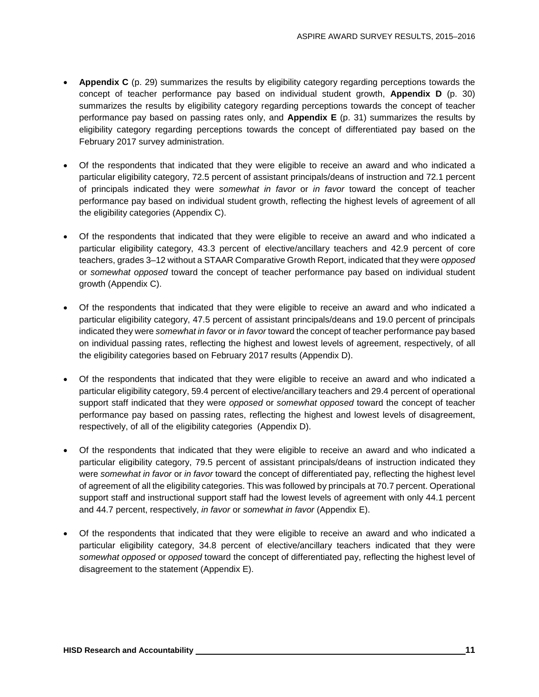- **Appendix C** (p. 29) summarizes the results by eligibility category regarding perceptions towards the concept of teacher performance pay based on individual student growth, **Appendix D** (p. 30) summarizes the results by eligibility category regarding perceptions towards the concept of teacher performance pay based on passing rates only, and **Appendix E** (p. 31) summarizes the results by eligibility category regarding perceptions towards the concept of differentiated pay based on the February 2017 survey administration.
- Of the respondents that indicated that they were eligible to receive an award and who indicated a particular eligibility category, 72.5 percent of assistant principals/deans of instruction and 72.1 percent of principals indicated they were *somewhat in favor* or *in favor* toward the concept of teacher performance pay based on individual student growth, reflecting the highest levels of agreement of all the eligibility categories (Appendix C).
- Of the respondents that indicated that they were eligible to receive an award and who indicated a particular eligibility category, 43.3 percent of elective/ancillary teachers and 42.9 percent of core teachers, grades 3–12 without a STAAR Comparative Growth Report, indicated that they were *opposed* or *somewhat opposed* toward the concept of teacher performance pay based on individual student growth (Appendix C).
- Of the respondents that indicated that they were eligible to receive an award and who indicated a particular eligibility category, 47.5 percent of assistant principals/deans and 19.0 percent of principals indicated they were *somewhat in favor* or *in favor* toward the concept of teacher performance pay based on individual passing rates, reflecting the highest and lowest levels of agreement, respectively, of all the eligibility categories based on February 2017 results (Appendix D).
- Of the respondents that indicated that they were eligible to receive an award and who indicated a particular eligibility category, 59.4 percent of elective/ancillary teachers and 29.4 percent of operational support staff indicated that they were *opposed* or *somewhat opposed* toward the concept of teacher performance pay based on passing rates, reflecting the highest and lowest levels of disagreement, respectively, of all of the eligibility categories (Appendix D).
- Of the respondents that indicated that they were eligible to receive an award and who indicated a particular eligibility category, 79.5 percent of assistant principals/deans of instruction indicated they were *somewhat in favor* or *in favor* toward the concept of differentiated pay, reflecting the highest level of agreement of all the eligibility categories. This was followed by principals at 70.7 percent. Operational support staff and instructional support staff had the lowest levels of agreement with only 44.1 percent and 44.7 percent, respectively, *in favor* or *somewhat in favor* (Appendix E).
- Of the respondents that indicated that they were eligible to receive an award and who indicated a particular eligibility category, 34.8 percent of elective/ancillary teachers indicated that they were *somewhat opposed* or *opposed* toward the concept of differentiated pay, reflecting the highest level of disagreement to the statement (Appendix E).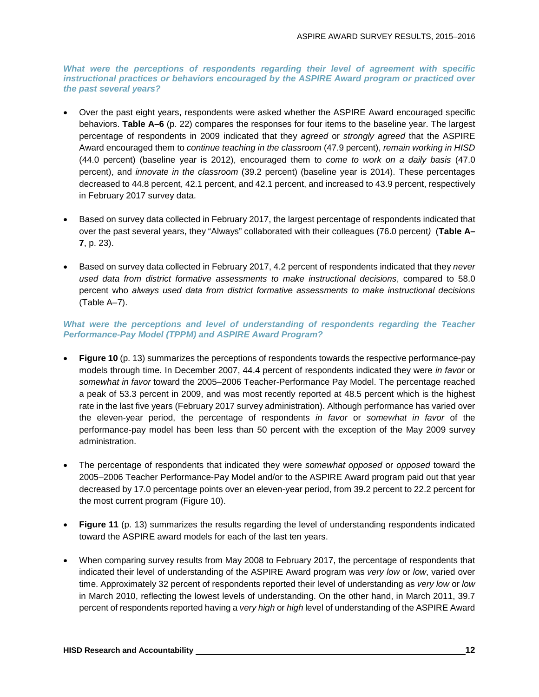*What were the perceptions of respondents regarding their level of agreement with specific instructional practices or behaviors encouraged by the ASPIRE Award program or practiced over the past several years?*

- Over the past eight years, respondents were asked whether the ASPIRE Award encouraged specific behaviors. **Table A–6** (p. 22) compares the responses for four items to the baseline year. The largest percentage of respondents in 2009 indicated that they *agreed* or *strongly agreed* that the ASPIRE Award encouraged them to *continue teaching in the classroom* (47.9 percent), *remain working in HISD* (44.0 percent) (baseline year is 2012), encouraged them to *come to work on a daily basis* (47.0 percent), and *innovate in the classroom* (39.2 percent) (baseline year is 2014). These percentages decreased to 44.8 percent, 42.1 percent, and 42.1 percent, and increased to 43.9 percent, respectively in February 2017 survey data.
- Based on survey data collected in February 2017, the largest percentage of respondents indicated that over the past several years, they "Always" collaborated with their colleagues (76.0 percent*)* (**Table A– 7**, p. 23).
- Based on survey data collected in February 2017, 4.2 percent of respondents indicated that they *never used data from district formative assessments to make instructional decisions*, compared to 58.0 percent who *always used data from district formative assessments to make instructional decisions* (Table A–7).

#### What were the perceptions and level of understanding of respondents regarding the Teacher *Performance-Pay Model (TPPM) and ASPIRE Award Program?*

- **Figure 10** (p. 13) summarizes the perceptions of respondents towards the respective performance-pay models through time. In December 2007, 44.4 percent of respondents indicated they were *in favor* or *somewhat in favor* toward the 2005–2006 Teacher-Performance Pay Model. The percentage reached a peak of 53.3 percent in 2009, and was most recently reported at 48.5 percent which is the highest rate in the last five years (February 2017 survey administration). Although performance has varied over the eleven-year period, the percentage of respondents *in favor* or *somewhat in favor* of the performance-pay model has been less than 50 percent with the exception of the May 2009 survey administration.
- The percentage of respondents that indicated they were *somewhat opposed* or *opposed* toward the 2005–2006 Teacher Performance-Pay Model and/or to the ASPIRE Award program paid out that year decreased by 17.0 percentage points over an eleven-year period, from 39.2 percent to 22.2 percent for the most current program (Figure 10).
- **Figure 11** (p. 13) summarizes the results regarding the level of understanding respondents indicated toward the ASPIRE award models for each of the last ten years.
- When comparing survey results from May 2008 to February 2017, the percentage of respondents that indicated their level of understanding of the ASPIRE Award program was *very low* or *low*, varied over time. Approximately 32 percent of respondents reported their level of understanding as *very low* or *low* in March 2010, reflecting the lowest levels of understanding. On the other hand, in March 2011, 39.7 percent of respondents reported having a *very high* or *high* level of understanding of the ASPIRE Award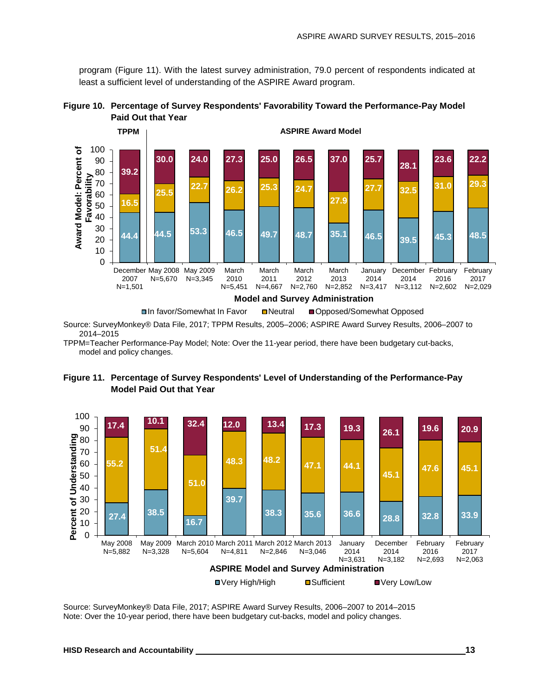program (Figure 11). With the latest survey administration, 79.0 percent of respondents indicated at least a sufficient level of understanding of the ASPIRE Award program.





Source: SurveyMonkey® Data File, 2017; TPPM Results, 2005–2006; ASPIRE Award Survey Results, 2006–2007 to 2014–2015

TPPM=Teacher Performance-Pay Model; Note: Over the 11-year period, there have been budgetary cut-backs, model and policy changes.





Source: SurveyMonkey® Data File, 2017; ASPIRE Award Survey Results, 2006–2007 to 2014–2015 Note: Over the 10-year period, there have been budgetary cut-backs, model and policy changes.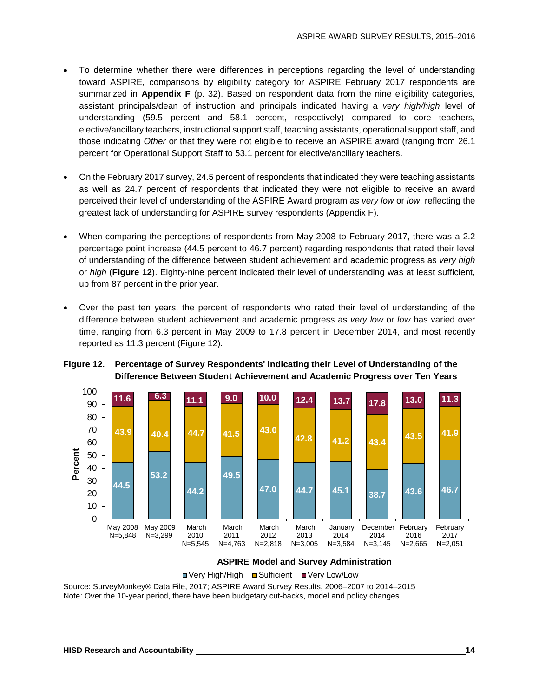- To determine whether there were differences in perceptions regarding the level of understanding toward ASPIRE, comparisons by eligibility category for ASPIRE February 2017 respondents are summarized in **Appendix F** (p. 32). Based on respondent data from the nine eligibility categories, assistant principals/dean of instruction and principals indicated having a *very high/high* level of understanding (59.5 percent and 58.1 percent, respectively) compared to core teachers, elective/ancillary teachers, instructional support staff, teaching assistants, operational support staff, and those indicating *Other* or that they were not eligible to receive an ASPIRE award (ranging from 26.1 percent for Operational Support Staff to 53.1 percent for elective/ancillary teachers.
- On the February 2017 survey, 24.5 percent of respondents that indicated they were teaching assistants as well as 24.7 percent of respondents that indicated they were not eligible to receive an award perceived their level of understanding of the ASPIRE Award program as *very low* or *low*, reflecting the greatest lack of understanding for ASPIRE survey respondents (Appendix F).
- When comparing the perceptions of respondents from May 2008 to February 2017, there was a 2.2 percentage point increase (44.5 percent to 46.7 percent) regarding respondents that rated their level of understanding of the difference between student achievement and academic progress as *very high* or *high* (**Figure 12**). Eighty-nine percent indicated their level of understanding was at least sufficient, up from 87 percent in the prior year.
- Over the past ten years, the percent of respondents who rated their level of understanding of the difference between student achievement and academic progress as *very low* or *low* has varied over time, ranging from 6.3 percent in May 2009 to 17.8 percent in December 2014, and most recently reported as 11.3 percent (Figure 12).

#### **Figure 12. Percentage of Survey Respondents' Indicating their Level of Understanding of the Difference Between Student Achievement and Academic Progress over Ten Years**





Source: SurveyMonkey® Data File, 2017; ASPIRE Award Survey Results, 2006–2007 to 2014–2015 Note: Over the 10-year period, there have been budgetary cut-backs, model and policy changes ■ Very High/High ■ Sufficient ■ Very Low/Low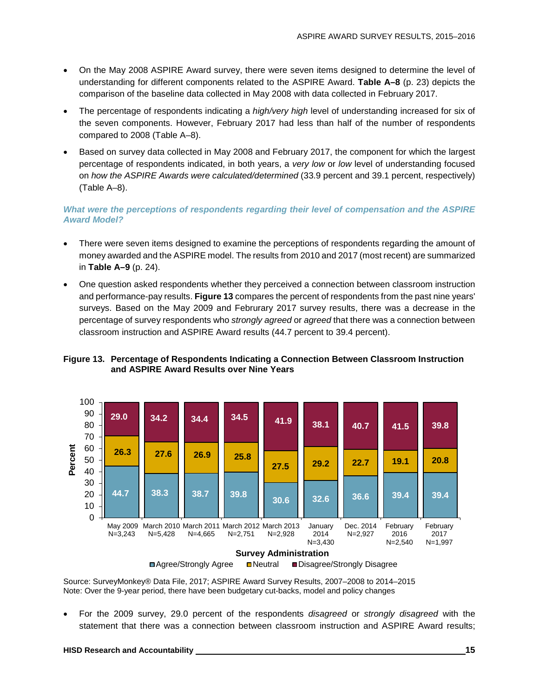- On the May 2008 ASPIRE Award survey, there were seven items designed to determine the level of understanding for different components related to the ASPIRE Award. **Table A–8** (p. 23) depicts the comparison of the baseline data collected in May 2008 with data collected in February 2017.
- The percentage of respondents indicating a *high/very high* level of understanding increased for six of the seven components. However, February 2017 had less than half of the number of respondents compared to 2008 (Table A–8).
- Based on survey data collected in May 2008 and February 2017, the component for which the largest percentage of respondents indicated, in both years, a *very low* or *low* level of understanding focused on *how the ASPIRE Awards were calculated/determined* (33.9 percent and 39.1 percent, respectively) (Table A–8).

#### *What were the perceptions of respondents regarding their level of compensation and the ASPIRE Award Model?*

- There were seven items designed to examine the perceptions of respondents regarding the amount of money awarded and the ASPIRE model. The results from 2010 and 2017 (most recent) are summarized in **Table A–9** (p. 24).
- One question asked respondents whether they perceived a connection between classroom instruction and performance-pay results. **Figure 13** compares the percent of respondents from the past nine years' surveys. Based on the May 2009 and Februrary 2017 survey results, there was a decrease in the percentage of survey respondents who *strongly agreed* or *agreed* that there was a connection between classroom instruction and ASPIRE Award results (44.7 percent to 39.4 percent).

#### **Figure 13. Percentage of Respondents Indicating a Connection Between Classroom Instruction and ASPIRE Award Results over Nine Years**



Source: SurveyMonkey® Data File, 2017; ASPIRE Award Survey Results, 2007–2008 to 2014–2015 Note: Over the 9-year period, there have been budgetary cut-backs, model and policy changes

• For the 2009 survey, 29.0 percent of the respondents *disagreed* or *strongly disagreed* with the statement that there was a connection between classroom instruction and ASPIRE Award results;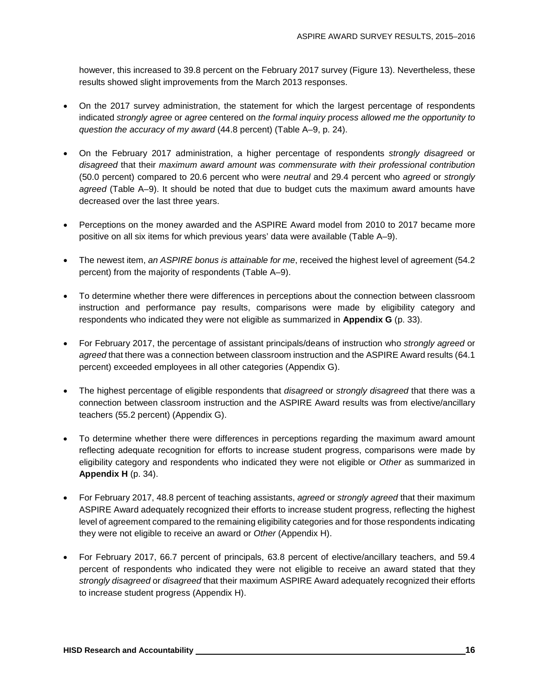however, this increased to 39.8 percent on the February 2017 survey (Figure 13). Nevertheless, these results showed slight improvements from the March 2013 responses.

- On the 2017 survey administration, the statement for which the largest percentage of respondents indicated *strongly agree* or *agree* centered on *the formal inquiry process allowed me the opportunity to question the accuracy of my award* (44.8 percent) (Table A–9, p. 24).
- On the February 2017 administration, a higher percentage of respondents *strongly disagreed* or *disagreed* that their *maximum award amount was commensurate with their professional contribution* (50.0 percent) compared to 20.6 percent who were *neutral* and 29.4 percent who *agreed* or *strongly agreed* (Table A–9). It should be noted that due to budget cuts the maximum award amounts have decreased over the last three years.
- Perceptions on the money awarded and the ASPIRE Award model from 2010 to 2017 became more positive on all six items for which previous years' data were available (Table A–9).
- The newest item, *an ASPIRE bonus is attainable for me*, received the highest level of agreement (54.2) percent) from the majority of respondents (Table A–9).
- To determine whether there were differences in perceptions about the connection between classroom instruction and performance pay results, comparisons were made by eligibility category and respondents who indicated they were not eligible as summarized in **Appendix G** (p. 33).
- For February 2017, the percentage of assistant principals/deans of instruction who *strongly agreed* or *agreed* that there was a connection between classroom instruction and the ASPIRE Award results (64.1 percent) exceeded employees in all other categories (Appendix G).
- The highest percentage of eligible respondents that *disagreed* or *strongly disagreed* that there was a connection between classroom instruction and the ASPIRE Award results was from elective/ancillary teachers (55.2 percent) (Appendix G).
- To determine whether there were differences in perceptions regarding the maximum award amount reflecting adequate recognition for efforts to increase student progress, comparisons were made by eligibility category and respondents who indicated they were not eligible or *Other* as summarized in **Appendix H** (p. 34).
- For February 2017, 48.8 percent of teaching assistants, *agreed* or *strongly agreed* that their maximum ASPIRE Award adequately recognized their efforts to increase student progress, reflecting the highest level of agreement compared to the remaining eligibility categories and for those respondents indicating they were not eligible to receive an award or *Other* (Appendix H).
- For February 2017, 66.7 percent of principals, 63.8 percent of elective/ancillary teachers, and 59.4 percent of respondents who indicated they were not eligible to receive an award stated that they *strongly disagreed* or *disagreed* that their maximum ASPIRE Award adequately recognized their efforts to increase student progress (Appendix H).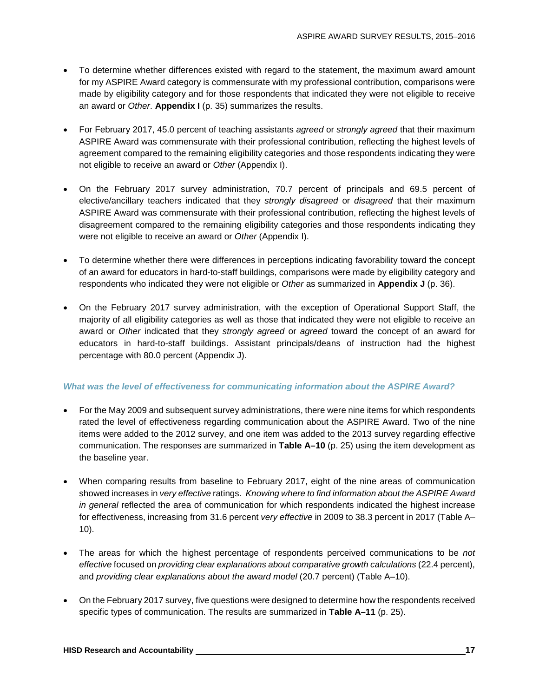- To determine whether differences existed with regard to the statement, the maximum award amount for my ASPIRE Award category is commensurate with my professional contribution, comparisons were made by eligibility category and for those respondents that indicated they were not eligible to receive an award or *Other*. **Appendix I** (p. 35) summarizes the results.
- For February 2017, 45.0 percent of teaching assistants *agreed* or *strongly agreed* that their maximum ASPIRE Award was commensurate with their professional contribution, reflecting the highest levels of agreement compared to the remaining eligibility categories and those respondents indicating they were not eligible to receive an award or *Other* (Appendix I).
- On the February 2017 survey administration, 70.7 percent of principals and 69.5 percent of elective/ancillary teachers indicated that they *strongly disagreed* or *disagreed* that their maximum ASPIRE Award was commensurate with their professional contribution, reflecting the highest levels of disagreement compared to the remaining eligibility categories and those respondents indicating they were not eligible to receive an award or *Other* (Appendix I).
- To determine whether there were differences in perceptions indicating favorability toward the concept of an award for educators in hard-to-staff buildings, comparisons were made by eligibility category and respondents who indicated they were not eligible or *Other* as summarized in **Appendix J** (p. 36).
- On the February 2017 survey administration, with the exception of Operational Support Staff, the majority of all eligibility categories as well as those that indicated they were not eligible to receive an award or *Other* indicated that they *strongly agreed* or *agreed* toward the concept of an award for educators in hard-to-staff buildings. Assistant principals/deans of instruction had the highest percentage with 80.0 percent (Appendix J).

#### *What was the level of effectiveness for communicating information about the ASPIRE Award?*

- For the May 2009 and subsequent survey administrations, there were nine items for which respondents rated the level of effectiveness regarding communication about the ASPIRE Award. Two of the nine items were added to the 2012 survey, and one item was added to the 2013 survey regarding effective communication. The responses are summarized in **Table A–10** (p. 25) using the item development as the baseline year.
- When comparing results from baseline to February 2017, eight of the nine areas of communication showed increases in *very effective* ratings. *Knowing where to find information about the ASPIRE Award in general* reflected the area of communication for which respondents indicated the highest increase for effectiveness, increasing from 31.6 percent *very effective* in 2009 to 38.3 percent in 2017 (Table A– 10).
- The areas for which the highest percentage of respondents perceived communications to be *not effective* focused on *providing clear explanations about comparative growth calculations* (22.4 percent), and *providing clear explanations about the award model* (20.7 percent) (Table A–10).
- On the February 2017 survey, five questions were designed to determine how the respondents received specific types of communication. The results are summarized in **Table A–11** (p. 25).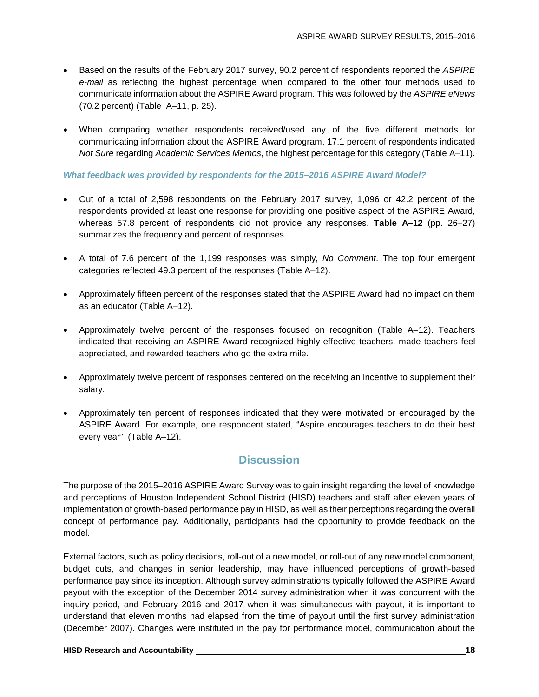- Based on the results of the February 2017 survey, 90.2 percent of respondents reported the *ASPIRE e-mail* as reflecting the highest percentage when compared to the other four methods used to communicate information about the ASPIRE Award program. This was followed by the *ASPIRE eNews* (70.2 percent) (Table A–11, p. 25).
- When comparing whether respondents received/used any of the five different methods for communicating information about the ASPIRE Award program, 17.1 percent of respondents indicated *Not Sure* regarding *Academic Services Memos*, the highest percentage for this category (Table A–11).

#### *What feedback was provided by respondents for the 2015–2016 ASPIRE Award Model?*

- Out of a total of 2,598 respondents on the February 2017 survey, 1,096 or 42.2 percent of the respondents provided at least one response for providing one positive aspect of the ASPIRE Award, whereas 57.8 percent of respondents did not provide any responses. **Table A–12** (pp. 26–27) summarizes the frequency and percent of responses.
- A total of 7.6 percent of the 1,199 responses was simply, *No Comment*. The top four emergent categories reflected 49.3 percent of the responses (Table A–12).
- Approximately fifteen percent of the responses stated that the ASPIRE Award had no impact on them as an educator (Table A–12).
- Approximately twelve percent of the responses focused on recognition (Table A–12). Teachers indicated that receiving an ASPIRE Award recognized highly effective teachers, made teachers feel appreciated, and rewarded teachers who go the extra mile.
- Approximately twelve percent of responses centered on the receiving an incentive to supplement their salary.
- Approximately ten percent of responses indicated that they were motivated or encouraged by the ASPIRE Award. For example, one respondent stated, "Aspire encourages teachers to do their best every year" (Table A–12).

## **Discussion**

The purpose of the 2015–2016 ASPIRE Award Survey was to gain insight regarding the level of knowledge and perceptions of Houston Independent School District (HISD) teachers and staff after eleven years of implementation of growth-based performance pay in HISD, as well as their perceptions regarding the overall concept of performance pay. Additionally, participants had the opportunity to provide feedback on the model.

External factors, such as policy decisions, roll-out of a new model, or roll-out of any new model component, budget cuts, and changes in senior leadership, may have influenced perceptions of growth-based performance pay since its inception. Although survey administrations typically followed the ASPIRE Award payout with the exception of the December 2014 survey administration when it was concurrent with the inquiry period, and February 2016 and 2017 when it was simultaneous with payout, it is important to understand that eleven months had elapsed from the time of payout until the first survey administration (December 2007). Changes were instituted in the pay for performance model, communication about the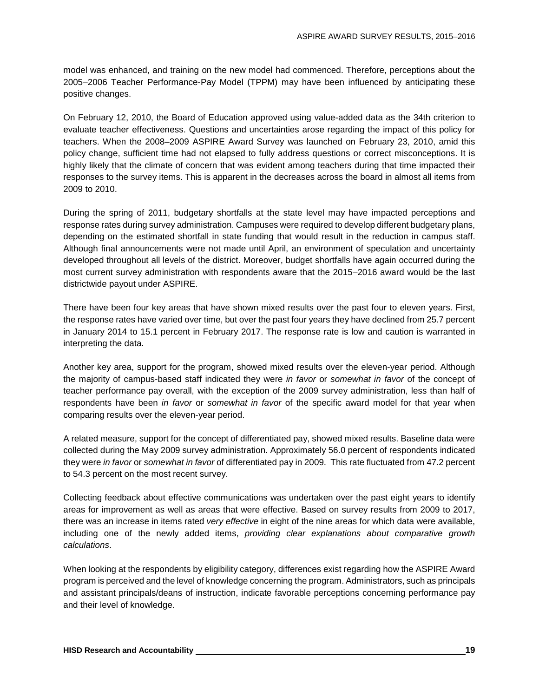model was enhanced, and training on the new model had commenced. Therefore, perceptions about the 2005–2006 Teacher Performance-Pay Model (TPPM) may have been influenced by anticipating these positive changes.

On February 12, 2010, the Board of Education approved using value-added data as the 34th criterion to evaluate teacher effectiveness. Questions and uncertainties arose regarding the impact of this policy for teachers. When the 2008–2009 ASPIRE Award Survey was launched on February 23, 2010, amid this policy change, sufficient time had not elapsed to fully address questions or correct misconceptions. It is highly likely that the climate of concern that was evident among teachers during that time impacted their responses to the survey items. This is apparent in the decreases across the board in almost all items from 2009 to 2010.

During the spring of 2011, budgetary shortfalls at the state level may have impacted perceptions and response rates during survey administration. Campuses were required to develop different budgetary plans, depending on the estimated shortfall in state funding that would result in the reduction in campus staff. Although final announcements were not made until April, an environment of speculation and uncertainty developed throughout all levels of the district. Moreover, budget shortfalls have again occurred during the most current survey administration with respondents aware that the 2015–2016 award would be the last districtwide payout under ASPIRE.

There have been four key areas that have shown mixed results over the past four to eleven years. First, the response rates have varied over time, but over the past four years they have declined from 25.7 percent in January 2014 to 15.1 percent in February 2017. The response rate is low and caution is warranted in interpreting the data.

Another key area, support for the program, showed mixed results over the eleven-year period. Although the majority of campus-based staff indicated they were *in favor* or *somewhat in favor* of the concept of teacher performance pay overall, with the exception of the 2009 survey administration, less than half of respondents have been *in favor* or *somewhat in favor* of the specific award model for that year when comparing results over the eleven-year period.

A related measure, support for the concept of differentiated pay, showed mixed results. Baseline data were collected during the May 2009 survey administration. Approximately 56.0 percent of respondents indicated they were *in favor* or *somewhat in favor* of differentiated pay in 2009. This rate fluctuated from 47.2 percent to 54.3 percent on the most recent survey.

Collecting feedback about effective communications was undertaken over the past eight years to identify areas for improvement as well as areas that were effective. Based on survey results from 2009 to 2017, there was an increase in items rated *very effective* in eight of the nine areas for which data were available, including one of the newly added items, *providing clear explanations about comparative growth calculations*.

When looking at the respondents by eligibility category, differences exist regarding how the ASPIRE Award program is perceived and the level of knowledge concerning the program. Administrators, such as principals and assistant principals/deans of instruction, indicate favorable perceptions concerning performance pay and their level of knowledge.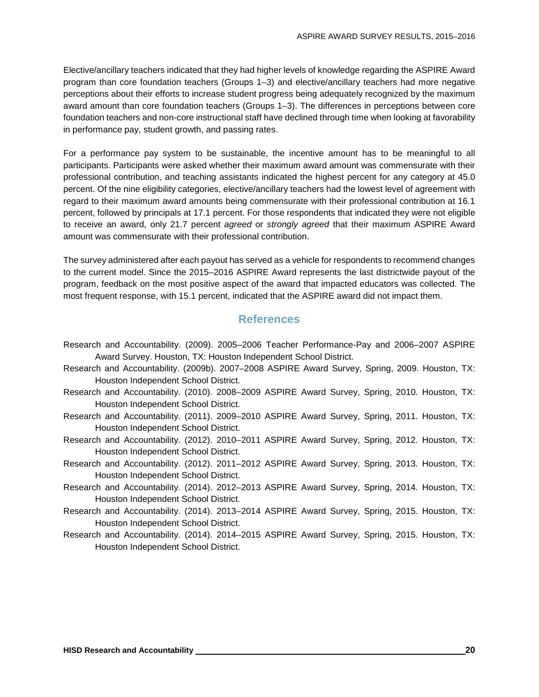Elective/ancillary teachers indicated that they had higher levels of knowledge regarding the ASPIRE Award program than core foundation teachers (Groups 1–3) and elective/ancillary teachers had more negative perceptions about their efforts to increase student progress being adequately recognized by the maximum award amount than core foundation teachers (Groups 1–3). The differences in perceptions between core foundation teachers and non-core instructional staff have declined through time when looking at favorability in performance pay, student growth, and passing rates.

For a performance pay system to be sustainable, the incentive amount has to be meaningful to all participants. Participants were asked whether their maximum award amount was commensurate with their professional contribution, and teaching assistants indicated the highest percent for any category at 45.0 percent. Of the nine eligibility categories, elective/ancillary teachers had the lowest level of agreement with regard to their maximum award amounts being commensurate with their professional contribution at 16.1 percent, followed by principals at 17.1 percent. For those respondents that indicated they were not eligible to receive an award, only 21.7 percent *agreed* or *strongly agreed* that their maximum ASPIRE Award amount was commensurate with their professional contribution.

The survey administered after each payout has served as a vehicle for respondents to recommend changes to the current model. Since the 2015–2016 ASPIRE Award represents the last districtwide payout of the program, feedback on the most positive aspect of the award that impacted educators was collected. The most frequent response, with 15.1 percent, indicated that the ASPIRE award did not impact them.

## **References**

- Research and Accountability. (2009). 2005–2006 Teacher Performance-Pay and 2006–2007 ASPIRE Award Survey. Houston, TX: Houston Independent School District.
- Research and Accountability. (2009b). 2007–2008 ASPIRE Award Survey, Spring, 2009. Houston, TX: Houston Independent School District.
- Research and Accountability. (2010). 2008–2009 ASPIRE Award Survey, Spring, 2010. Houston, TX: Houston Independent School District.
- Research and Accountability. (2011). 2009–2010 ASPIRE Award Survey, Spring, 2011. Houston, TX: Houston Independent School District.
- Research and Accountability. (2012). 2010–2011 ASPIRE Award Survey, Spring, 2012. Houston, TX: Houston Independent School District.
- Research and Accountability. (2012). 2011–2012 ASPIRE Award Survey, Spring, 2013. Houston, TX: Houston Independent School District.
- Research and Accountability. (2014). 2012–2013 ASPIRE Award Survey, Spring, 2014. Houston, TX: Houston Independent School District.
- Research and Accountability. (2014). 2013–2014 ASPIRE Award Survey, Spring, 2015. Houston, TX: Houston Independent School District.
- Research and Accountability. (2014). 2014–2015 ASPIRE Award Survey, Spring, 2015. Houston, TX: Houston Independent School District.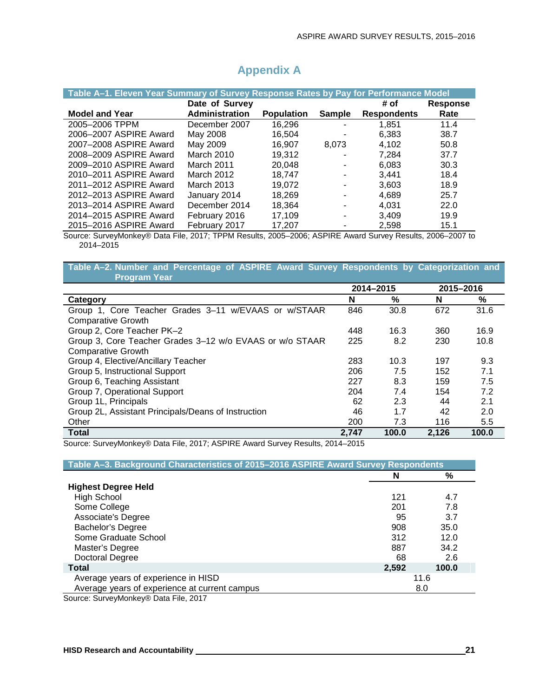| Table A-1. Eleven Year Summary of Survey Response Rates by Pay for Performance Model |                   |                   |                |                    |                 |  |  |
|--------------------------------------------------------------------------------------|-------------------|-------------------|----------------|--------------------|-----------------|--|--|
|                                                                                      | Date of Survey    |                   |                | # of               | <b>Response</b> |  |  |
| <b>Model and Year</b>                                                                | Administration    | <b>Population</b> | <b>Sample</b>  | <b>Respondents</b> | Rate            |  |  |
| 2005-2006 TPPM                                                                       | December 2007     | 16,296            |                | 1.851              | 11.4            |  |  |
| 2006-2007 ASPIRE Award                                                               | May 2008          | 16.504            | $\blacksquare$ | 6.383              | 38.7            |  |  |
| 2007-2008 ASPIRE Award                                                               | May 2009          | 16,907            | 8.073          | 4.102              | 50.8            |  |  |
| 2008-2009 ASPIRE Award                                                               | <b>March 2010</b> | 19,312            | ٠              | 7.284              | 37.7            |  |  |
| 2009-2010 ASPIRE Award                                                               | March 2011        | 20.048            |                | 6,083              | 30.3            |  |  |
| 2010-2011 ASPIRE Award                                                               | March 2012        | 18.747            |                | 3.441              | 18.4            |  |  |
| 2011-2012 ASPIRE Award                                                               | <b>March 2013</b> | 19,072            |                | 3.603              | 18.9            |  |  |
| 2012-2013 ASPIRE Award                                                               | January 2014      | 18.269            | -              | 4.689              | 25.7            |  |  |
| 2013-2014 ASPIRE Award                                                               | December 2014     | 18,364            |                | 4.031              | 22.0            |  |  |
| 2014-2015 ASPIRE Award                                                               | February 2016     | 17,109            |                | 3.409              | 19.9            |  |  |
| 2015-2016 ASPIRE Award                                                               | February 2017     | 17,207            |                | 2,598              | 15.1            |  |  |

## **Appendix A**

Source: SurveyMonkey® Data File, 2017; TPPM Results, 2005–2006; ASPIRE Award Survey Results, 2006–2007 to 2014–2015

**Table A–2. Number and Percentage of ASPIRE Award Survey Respondents by Categorization and Program Year**

|                                                          | 2014-2015 |       | 2015-2016 |       |  |
|----------------------------------------------------------|-----------|-------|-----------|-------|--|
| Category                                                 | N         | %     | N         | %     |  |
| Group 1, Core Teacher Grades 3-11 w/EVAAS or w/STAAR     | 846       | 30.8  | 672       | 31.6  |  |
| <b>Comparative Growth</b>                                |           |       |           |       |  |
| Group 2, Core Teacher PK-2                               | 448       | 16.3  | 360       | 16.9  |  |
| Group 3, Core Teacher Grades 3-12 w/o EVAAS or w/o STAAR | 225       | 8.2   | 230       | 10.8  |  |
| <b>Comparative Growth</b>                                |           |       |           |       |  |
| Group 4, Elective/Ancillary Teacher                      | 283       | 10.3  | 197       | 9.3   |  |
| Group 5, Instructional Support                           | 206       | 7.5   | 152       | 7.1   |  |
| Group 6, Teaching Assistant                              | 227       | 8.3   | 159       | 7.5   |  |
| Group 7, Operational Support                             | 204       | 7.4   | 154       | 7.2   |  |
| Group 1L, Principals                                     | 62        | 2.3   | 44        | 2.1   |  |
| Group 2L, Assistant Principals/Deans of Instruction      | 46        | 1.7   | 42        | 2.0   |  |
| Other                                                    | 200       | 7.3   | 116       | 5.5   |  |
| <b>Total</b>                                             | 2.747     | 100.0 | 2.126     | 100.0 |  |

Source: SurveyMonkey® Data File, 2017; ASPIRE Award Survey Results, 2014–2015

| Table A-3. Background Characteristics of 2015-2016 ASPIRE Award Survey Respondents |       |       |
|------------------------------------------------------------------------------------|-------|-------|
|                                                                                    | N     | $\%$  |
| <b>Highest Degree Held</b>                                                         |       |       |
| <b>High School</b>                                                                 | 121   | 4.7   |
| Some College                                                                       | 201   | 7.8   |
| Associate's Degree                                                                 | 95    | 3.7   |
| <b>Bachelor's Degree</b>                                                           | 908   | 35.0  |
| Some Graduate School                                                               | 312   | 12.0  |
| Master's Degree                                                                    | 887   | 34.2  |
| Doctoral Degree                                                                    | 68    | 2.6   |
| <b>Total</b>                                                                       | 2,592 | 100.0 |
| Average years of experience in HISD                                                | 11.6  |       |
| Average years of experience at current campus                                      | 8.0   |       |
| Source: SurveyMonkey® Data File 2017                                               |       |       |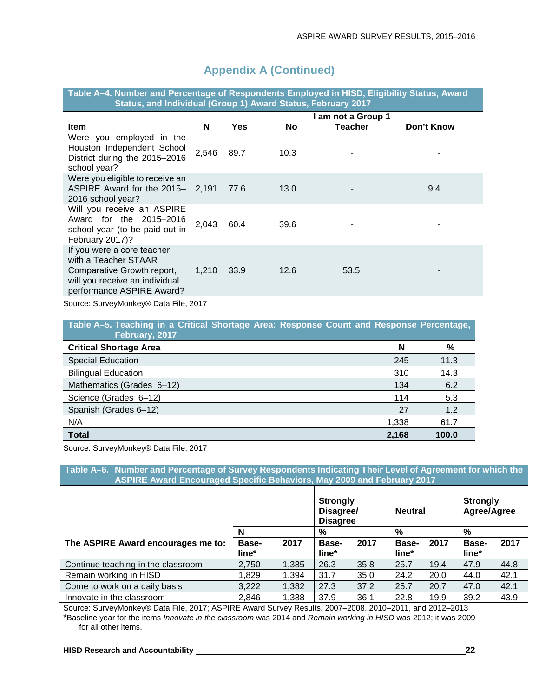| Table A-4. Number and Fercentage of Respondents Employed in Hisp, Engibility Status, Award<br>Status, and Individual (Group 1) Award Status, February 2017 |       |            |           |                                      |            |
|------------------------------------------------------------------------------------------------------------------------------------------------------------|-------|------------|-----------|--------------------------------------|------------|
| <b>Item</b>                                                                                                                                                | N     | <b>Yes</b> | <b>No</b> | I am not a Group 1<br><b>Teacher</b> | Don't Know |
| Were you employed in the<br>Houston Independent School<br>District during the 2015-2016<br>school year?                                                    | 2,546 | 89.7       | 10.3      |                                      |            |
| Were you eligible to receive an<br>ASPIRE Award for the 2015-2,191<br>2016 school year?                                                                    |       | 77.6       | 13.0      |                                      | 9.4        |
| Will you receive an ASPIRE<br>Award for the 2015-2016<br>school year (to be paid out in<br>February 2017)?                                                 | 2,043 | 60.4       | 39.6      |                                      |            |
| If you were a core teacher<br>with a Teacher STAAR<br>Comparative Growth report,<br>will you receive an individual<br>performance ASPIRE Award?            | 1,210 | 33.9       | 12.6      | 53.5                                 |            |

**Table A–4. Number and Percentage of Respondents Employed in HISD, Eligibility Status, Award** 

Source: SurveyMonkey® Data File, 2017

**Table A–5. Teaching in a Critical Shortage Area: Response Count and Response Percentage, February, 2017 Critical Shortage Area N %** Special Education 245 11.3 Bilingual Education 310 14.3

| <b>Total</b>              | 2,168 | 100.0 |
|---------------------------|-------|-------|
| N/A                       | 1.338 | 61.7  |
| Spanish (Grades 6-12)     | 27    | 1.2   |
| Science (Grades 6-12)     | 114   | 5.3   |
| Mathematics (Grades 6-12) | 134   | 6.2   |
| Dilliyudi Euutation       | OIU   | ن.+۱  |

Source: SurveyMonkey® Data File, 2017

**Table A–6. Number and Percentage of Survey Respondents Indicating Their Level of Agreement for which the ASPIRE Award Encouraged Specific Behaviors, May 2009 and February 2017**

|                                    |                       |       | <b>Strongly</b><br>Disagree/<br><b>Disagree</b> |      | <b>Neutral</b>        |      | <b>Strongly</b><br>Agree/Agree |      |
|------------------------------------|-----------------------|-------|-------------------------------------------------|------|-----------------------|------|--------------------------------|------|
|                                    | N                     |       | %                                               |      | %                     |      | %                              |      |
| The ASPIRE Award encourages me to: | <b>Base-</b><br>line* | 2017  | Base-<br>line*                                  | 2017 | <b>Base-</b><br>line* | 2017 | <b>Base-</b><br>line*          | 2017 |
| Continue teaching in the classroom | 2,750                 | 1,385 | 26.3                                            | 35.8 | 25.7                  | 19.4 | 47.9                           | 44.8 |
| Remain working in HISD             | 1,829                 | 1,394 | 31.7                                            | 35.0 | 24.2                  | 20.0 | 44.0                           | 42.1 |
| Come to work on a daily basis      | 3,222                 | 1,382 | 27.3                                            | 37.2 | 25.7                  | 20.7 | 47.0                           | 42.1 |
| Innovate in the classroom          | 2,846                 | 1,388 | 37.9                                            | 36.1 | 22.8                  | 19.9 | 39.2                           | 43.9 |

Source: SurveyMonkey® Data File, 2017; ASPIRE Award Survey Results, 2007–2008, 2010–2011, and 2012–2013 \*Baseline year for the items *Innovate in the classroom* was 2014 and *Remain working in HISD* was 2012; it was 2009 for all other items.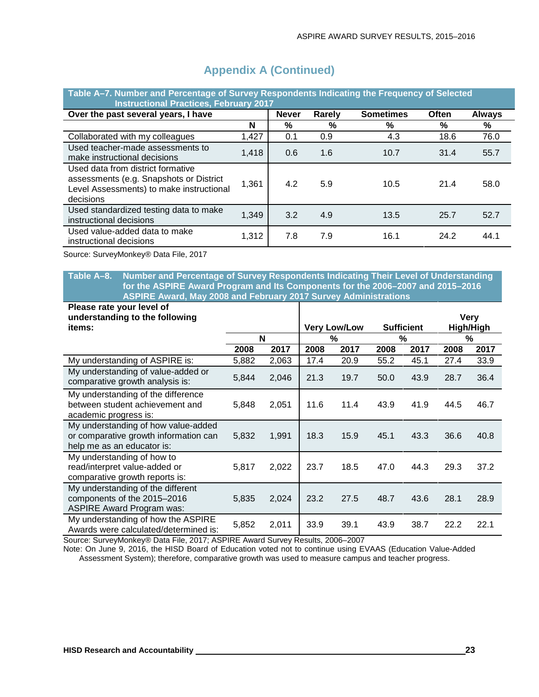| Table A–7. Number and Percentage of Survey Respondents Indicating the Frequency of Selected<br><b>Instructional Practices, February 2017</b> |       |              |        |                  |       |               |  |  |  |
|----------------------------------------------------------------------------------------------------------------------------------------------|-------|--------------|--------|------------------|-------|---------------|--|--|--|
| Over the past several years, I have                                                                                                          |       | <b>Never</b> | Rarely | <b>Sometimes</b> | Often | <b>Always</b> |  |  |  |
|                                                                                                                                              | N     | %            | %      | %                | %     | %             |  |  |  |
| Collaborated with my colleagues                                                                                                              | 1,427 | 0.1          | 0.9    | 4.3              | 18.6  | 76.0          |  |  |  |
| Used teacher-made assessments to<br>make instructional decisions                                                                             | 1,418 | 0.6          | 1.6    | 10.7             | 31.4  | 55.7          |  |  |  |
| Used data from district formative<br>assessments (e.g. Snapshots or District<br>Level Assessments) to make instructional<br>decisions        | 1,361 | 4.2          | 5.9    | 10.5             | 21.4  | 58.0          |  |  |  |
| Used standardized testing data to make<br>instructional decisions                                                                            | 1,349 | 3.2          | 4.9    | 13.5             | 25.7  | 52.7          |  |  |  |
| Used value-added data to make<br>instructional decisions                                                                                     | 1,312 | 7.8          | 7.9    | 16.1             | 24.2  | 44.1          |  |  |  |

Source: SurveyMonkey® Data File, 2017

**Table A–8. Number and Percentage of Survey Respondents Indicating Their Level of Understanding for the ASPIRE Award Program and Its Components for the 2006–2007 and 2015–2016 ASPIRE Award, May 2008 and February 2017 Survey Administrations**

| Please rate your level of                                                                                  |       |       |                     |      |      |                   |             |      |
|------------------------------------------------------------------------------------------------------------|-------|-------|---------------------|------|------|-------------------|-------------|------|
| understanding to the following                                                                             |       |       |                     |      |      |                   | <b>Very</b> |      |
| items:                                                                                                     |       |       | <b>Very Low/Low</b> |      |      | <b>Sufficient</b> | High/High   |      |
|                                                                                                            |       | N     |                     | %    | %    |                   | %           |      |
|                                                                                                            | 2008  | 2017  | 2008                | 2017 | 2008 | 2017              | 2008        | 2017 |
| My understanding of ASPIRE is:                                                                             | 5,882 | 2,063 | 17.4                | 20.9 | 55.2 | 45.1              | 27.4        | 33.9 |
| My understanding of value-added or<br>comparative growth analysis is:                                      | 5,844 | 2,046 | 21.3                | 19.7 | 50.0 | 43.9              | 28.7        | 36.4 |
| My understanding of the difference<br>between student achievement and<br>academic progress is:             | 5,848 | 2,051 | 11.6                | 11.4 | 43.9 | 41.9              | 44.5        | 46.7 |
| My understanding of how value-added<br>or comparative growth information can<br>help me as an educator is: | 5,832 | 1,991 | 18.3                | 15.9 | 45.1 | 43.3              | 36.6        | 40.8 |
| My understanding of how to<br>read/interpret value-added or<br>comparative growth reports is:              | 5,817 | 2,022 | 23.7                | 18.5 | 47.0 | 44.3              | 29.3        | 37.2 |
| My understanding of the different<br>components of the 2015-2016<br><b>ASPIRE Award Program was:</b>       | 5,835 | 2,024 | 23.2                | 27.5 | 48.7 | 43.6              | 28.1        | 28.9 |
| My understanding of how the ASPIRE<br>Awards were calculated/determined is:                                | 5,852 | 2,011 | 33.9                | 39.1 | 43.9 | 38.7              | 22.2        | 22.1 |

Source: SurveyMonkey® Data File, 2017; ASPIRE Award Survey Results, 2006–2007

Note: On June 9, 2016, the HISD Board of Education voted not to continue using EVAAS (Education Value-Added Assessment System); therefore, comparative growth was used to measure campus and teacher progress.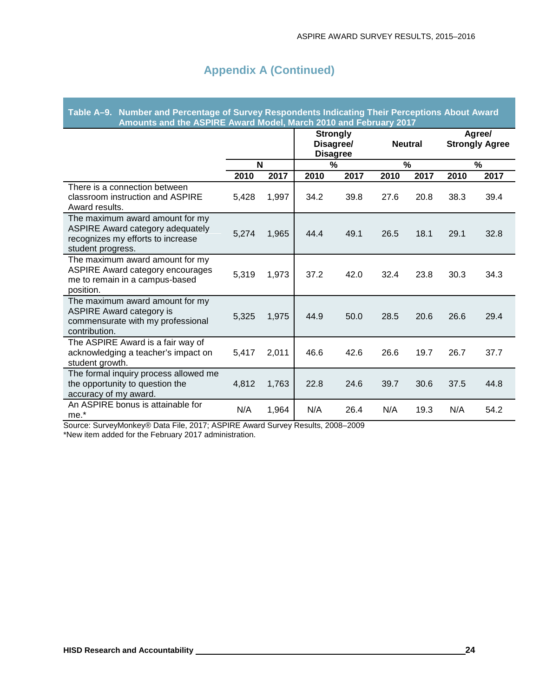| Table A–9.   Number and Percentage of Survey Respondents Indicating Their Perceptions About Award<br>Amounts and the ASPIRE Award Model, March 2010 and February 2017 |                                                 |       |               |      |      |                |      |      |                                 |
|-----------------------------------------------------------------------------------------------------------------------------------------------------------------------|-------------------------------------------------|-------|---------------|------|------|----------------|------|------|---------------------------------|
|                                                                                                                                                                       | <b>Strongly</b><br>Disagree/<br><b>Disagree</b> |       |               |      |      | <b>Neutral</b> |      |      | Agree/<br><b>Strongly Agree</b> |
|                                                                                                                                                                       | N                                               |       | $\frac{0}{0}$ |      |      | %              |      | %    |                                 |
|                                                                                                                                                                       | 2010                                            | 2017  | 2010          | 2017 | 2010 | 2017           | 2010 | 2017 |                                 |
| There is a connection between<br>classroom instruction and ASPIRE<br>Award results.                                                                                   | 5,428                                           | 1,997 | 34.2          | 39.8 | 27.6 | 20.8           | 38.3 | 39.4 |                                 |
| The maximum award amount for my<br>ASPIRE Award category adequately<br>recognizes my efforts to increase<br>student progress.                                         | 5,274                                           | 1,965 | 44.4          | 49.1 | 26.5 | 18.1           | 29.1 | 32.8 |                                 |
| The maximum award amount for my<br><b>ASPIRE Award category encourages</b><br>me to remain in a campus-based<br>position.                                             | 5,319                                           | 1,973 | 37.2          | 42.0 | 32.4 | 23.8           | 30.3 | 34.3 |                                 |
| The maximum award amount for my<br><b>ASPIRE Award category is</b><br>commensurate with my professional<br>contribution.                                              | 5,325                                           | 1,975 | 44.9          | 50.0 | 28.5 | 20.6           | 26.6 | 29.4 |                                 |
| The ASPIRE Award is a fair way of<br>acknowledging a teacher's impact on<br>student growth.                                                                           | 5,417                                           | 2,011 | 46.6          | 42.6 | 26.6 | 19.7           | 26.7 | 37.7 |                                 |
| The formal inquiry process allowed me<br>the opportunity to question the<br>accuracy of my award.                                                                     | 4,812                                           | 1,763 | 22.8          | 24.6 | 39.7 | 30.6           | 37.5 | 44.8 |                                 |
| An ASPIRE bonus is attainable for<br>me.*                                                                                                                             | N/A                                             | 1,964 | N/A           | 26.4 | N/A  | 19.3           | N/A  | 54.2 |                                 |

Source: SurveyMonkey® Data File, 2017; ASPIRE Award Survey Results, 2008–2009 \*New item added for the February 2017 administration.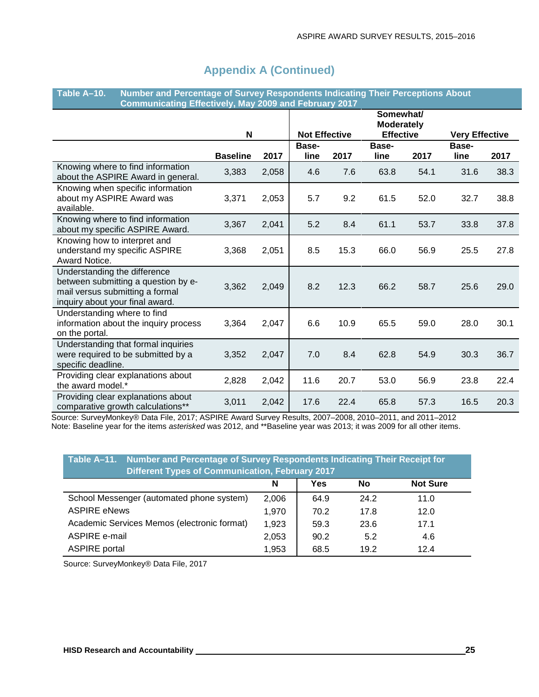| Number and Percentage of Survey Respondents Indicating Their Perceptions About<br>Table A-10.<br><b>Communicating Effectively, May 2009 and February 2017</b> |                 |       |                      |      |                                                    |      |                       |      |
|---------------------------------------------------------------------------------------------------------------------------------------------------------------|-----------------|-------|----------------------|------|----------------------------------------------------|------|-----------------------|------|
|                                                                                                                                                               | N               |       | <b>Not Effective</b> |      | Somewhat/<br><b>Moderately</b><br><b>Effective</b> |      | <b>Very Effective</b> |      |
|                                                                                                                                                               | <b>Baseline</b> | 2017  | Base-<br>line        | 2017 | Base-<br>line                                      | 2017 | Base-<br>line         | 2017 |
| Knowing where to find information<br>about the ASPIRE Award in general.                                                                                       | 3,383           | 2,058 | 4.6                  | 7.6  | 63.8                                               | 54.1 | 31.6                  | 38.3 |
| Knowing when specific information<br>about my ASPIRE Award was<br>available.                                                                                  | 3,371           | 2,053 | 5.7                  | 9.2  | 61.5                                               | 52.0 | 32.7                  | 38.8 |
| Knowing where to find information<br>about my specific ASPIRE Award.                                                                                          | 3,367           | 2,041 | 5.2                  | 8.4  | 61.1                                               | 53.7 | 33.8                  | 37.8 |
| Knowing how to interpret and<br>understand my specific ASPIRE<br>Award Notice.                                                                                | 3,368           | 2,051 | 8.5                  | 15.3 | 66.0                                               | 56.9 | 25.5                  | 27.8 |
| Understanding the difference<br>between submitting a question by e-<br>mail versus submitting a formal<br>inquiry about your final award.                     | 3,362           | 2,049 | 8.2                  | 12.3 | 66.2                                               | 58.7 | 25.6                  | 29.0 |
| Understanding where to find<br>information about the inquiry process<br>on the portal.                                                                        | 3,364           | 2,047 | 6.6                  | 10.9 | 65.5                                               | 59.0 | 28.0                  | 30.1 |
| Understanding that formal inquiries<br>were required to be submitted by a<br>specific deadline.                                                               | 3,352           | 2,047 | 7.0                  | 8.4  | 62.8                                               | 54.9 | 30.3                  | 36.7 |
| Providing clear explanations about<br>the award model.*                                                                                                       | 2,828           | 2,042 | 11.6                 | 20.7 | 53.0                                               | 56.9 | 23.8                  | 22.4 |
| Providing clear explanations about<br>comparative growth calculations**                                                                                       | 3,011           | 2,042 | 17.6                 | 22.4 | 65.8                                               | 57.3 | 16.5                  | 20.3 |

Source: SurveyMonkey® Data File, 2017; ASPIRE Award Survey Results, 2007–2008, 2010–2011, and 2011–2012 Note: Baseline year for the items *asterisked* was 2012, and \*\*Baseline year was 2013; it was 2009 for all other items.

| Table A-11. Number and Percentage of Survey Respondents Indicating Their Receipt for<br><b>Different Types of Communication, February 2017</b> |       |      |      |      |  |  |  |
|------------------------------------------------------------------------------------------------------------------------------------------------|-------|------|------|------|--|--|--|
| Yes<br><b>Not Sure</b><br>No<br>N                                                                                                              |       |      |      |      |  |  |  |
| School Messenger (automated phone system)                                                                                                      | 2,006 | 64.9 | 24.2 | 11.0 |  |  |  |
| <b>ASPIRE eNews</b>                                                                                                                            | 1,970 | 70.2 | 17.8 | 12.0 |  |  |  |
| Academic Services Memos (electronic format)                                                                                                    | 1,923 | 59.3 | 23.6 | 17.1 |  |  |  |
| ASPIRE e-mail                                                                                                                                  | 2,053 | 90.2 | 5.2  | 4.6  |  |  |  |
| <b>ASPIRE</b> portal                                                                                                                           | 1,953 | 68.5 | 19.2 | 12.4 |  |  |  |

Source: SurveyMonkey® Data File, 2017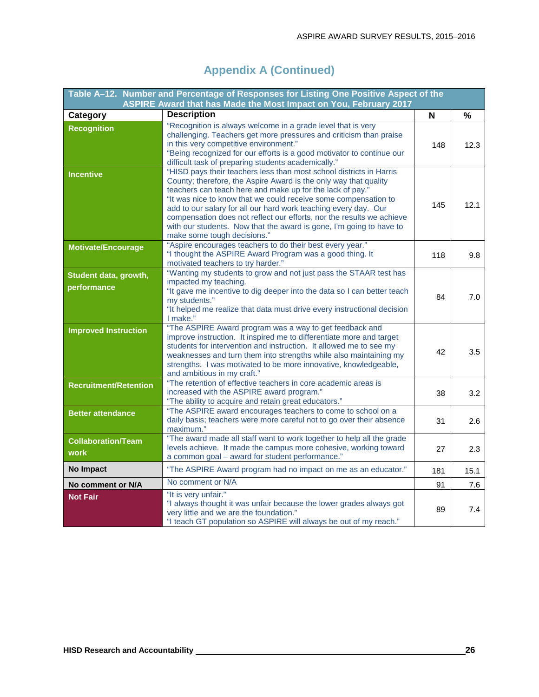|                                          | Table A-12. Number and Percentage of Responses for Listing One Positive Aspect of the                                                                                                                                                                                                                                                                                                                                                                                                                                     |     |      |
|------------------------------------------|---------------------------------------------------------------------------------------------------------------------------------------------------------------------------------------------------------------------------------------------------------------------------------------------------------------------------------------------------------------------------------------------------------------------------------------------------------------------------------------------------------------------------|-----|------|
|                                          | ASPIRE Award that has Made the Most Impact on You, February 2017<br><b>Description</b>                                                                                                                                                                                                                                                                                                                                                                                                                                    |     |      |
| Category                                 | "Recognition is always welcome in a grade level that is very                                                                                                                                                                                                                                                                                                                                                                                                                                                              | N   | $\%$ |
| <b>Recognition</b>                       | challenging. Teachers get more pressures and criticism than praise<br>in this very competitive environment."<br>"Being recognized for our efforts is a good motivator to continue our<br>difficult task of preparing students academically."                                                                                                                                                                                                                                                                              | 148 | 12.3 |
| <b>Incentive</b>                         | "HISD pays their teachers less than most school districts in Harris<br>County; therefore, the Aspire Award is the only way that quality<br>teachers can teach here and make up for the lack of pay."<br>"It was nice to know that we could receive some compensation to<br>add to our salary for all our hard work teaching every day. Our<br>compensation does not reflect our efforts, nor the results we achieve<br>with our students. Now that the award is gone, I'm going to have to<br>make some tough decisions." | 145 | 12.1 |
| <b>Motivate/Encourage</b>                | "Aspire encourages teachers to do their best every year."<br>"I thought the ASPIRE Award Program was a good thing. It<br>motivated teachers to try harder."                                                                                                                                                                                                                                                                                                                                                               | 118 | 9.8  |
| Student data, growth,<br>performance     | "Wanting my students to grow and not just pass the STAAR test has<br>impacted my teaching.<br>"It gave me incentive to dig deeper into the data so I can better teach<br>my students."<br>"It helped me realize that data must drive every instructional decision<br>I make."                                                                                                                                                                                                                                             | 84  | 7.0  |
| <b>Improved Instruction</b>              | "The ASPIRE Award program was a way to get feedback and<br>improve instruction. It inspired me to differentiate more and target<br>students for intervention and instruction. It allowed me to see my<br>weaknesses and turn them into strengths while also maintaining my<br>strengths. I was motivated to be more innovative, knowledgeable,<br>and ambitious in my craft."                                                                                                                                             | 42  | 3.5  |
| <b>Recruitment/Retention</b>             | "The retention of effective teachers in core academic areas is<br>increased with the ASPIRE award program."<br>"The ability to acquire and retain great educators."                                                                                                                                                                                                                                                                                                                                                       | 38  | 3.2  |
| <b>Better attendance</b>                 | "The ASPIRE award encourages teachers to come to school on a<br>daily basis; teachers were more careful not to go over their absence<br>maximum."                                                                                                                                                                                                                                                                                                                                                                         | 31  | 2.6  |
| <b>Collaboration/Team</b><br><b>work</b> | "The award made all staff want to work together to help all the grade<br>levels achieve. It made the campus more cohesive, working toward<br>a common goal - award for student performance."                                                                                                                                                                                                                                                                                                                              | 27  | 2.3  |
| No Impact                                | "The ASPIRE Award program had no impact on me as an educator."                                                                                                                                                                                                                                                                                                                                                                                                                                                            | 181 | 15.1 |
| No comment or N/A                        | No comment or N/A                                                                                                                                                                                                                                                                                                                                                                                                                                                                                                         | 91  | 7.6  |
| <b>Not Fair</b>                          | "It is very unfair."<br>"I always thought it was unfair because the lower grades always got<br>very little and we are the foundation."<br>"I teach GT population so ASPIRE will always be out of my reach."                                                                                                                                                                                                                                                                                                               | 89  | 7.4  |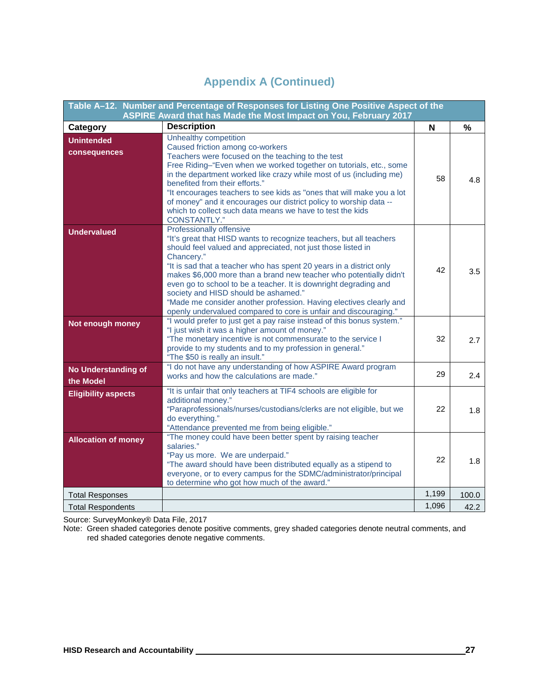| Table A-12. Number and Percentage of Responses for Listing One Positive Aspect of the<br>ASPIRE Award that has Made the Most Impact on You, February 2017 |                                                                                                                                                                                                                                                                                                                                                                                                                                                                                                                                                                                  |       |       |
|-----------------------------------------------------------------------------------------------------------------------------------------------------------|----------------------------------------------------------------------------------------------------------------------------------------------------------------------------------------------------------------------------------------------------------------------------------------------------------------------------------------------------------------------------------------------------------------------------------------------------------------------------------------------------------------------------------------------------------------------------------|-------|-------|
| Category                                                                                                                                                  | <b>Description</b>                                                                                                                                                                                                                                                                                                                                                                                                                                                                                                                                                               | N     | %     |
| <b>Unintended</b><br>consequences                                                                                                                         | Unhealthy competition<br>Caused friction among co-workers<br>Teachers were focused on the teaching to the test<br>Free Riding-"Even when we worked together on tutorials, etc., some<br>in the department worked like crazy while most of us (including me)<br>benefited from their efforts."<br>"It encourages teachers to see kids as "ones that will make you a lot<br>of money" and it encourages our district policy to worship data --<br>which to collect such data means we have to test the kids<br>CONSTANTLY."                                                        | 58    | 4.8   |
| <b>Undervalued</b>                                                                                                                                        | Professionally offensive<br>"It's great that HISD wants to recognize teachers, but all teachers<br>should feel valued and appreciated, not just those listed in<br>Chancery."<br>"It is sad that a teacher who has spent 20 years in a district only<br>makes \$6,000 more than a brand new teacher who potentially didn't<br>even go to school to be a teacher. It is downright degrading and<br>society and HISD should be ashamed."<br>"Made me consider another profession. Having electives clearly and<br>openly undervalued compared to core is unfair and discouraging." | 42    | 3.5   |
| Not enough money                                                                                                                                          | "I would prefer to just get a pay raise instead of this bonus system."<br>"I just wish it was a higher amount of money."<br>"The monetary incentive is not commensurate to the service I<br>provide to my students and to my profession in general."<br>"The \$50 is really an insult."                                                                                                                                                                                                                                                                                          | 32    | 2.7   |
| <b>No Understanding of</b><br>the Model                                                                                                                   | "I do not have any understanding of how ASPIRE Award program<br>works and how the calculations are made."                                                                                                                                                                                                                                                                                                                                                                                                                                                                        | 29    | 2.4   |
| <b>Eligibility aspects</b>                                                                                                                                | "It is unfair that only teachers at TIF4 schools are eligible for<br>additional money."<br>"Paraprofessionals/nurses/custodians/clerks are not eligible, but we<br>do everything."<br>"Attendance prevented me from being eligible."                                                                                                                                                                                                                                                                                                                                             | 22    | 1.8   |
| <b>Allocation of money</b>                                                                                                                                | "The money could have been better spent by raising teacher<br>salaries."<br>"Pay us more. We are underpaid."<br>"The award should have been distributed equally as a stipend to<br>everyone, or to every campus for the SDMC/administrator/principal<br>to determine who got how much of the award."                                                                                                                                                                                                                                                                             | 22    | 1.8   |
| <b>Total Responses</b>                                                                                                                                    |                                                                                                                                                                                                                                                                                                                                                                                                                                                                                                                                                                                  | 1,199 | 100.0 |
| <b>Total Respondents</b>                                                                                                                                  |                                                                                                                                                                                                                                                                                                                                                                                                                                                                                                                                                                                  | 1,096 | 42.2  |

Source: SurveyMonkey® Data File, 2017

Note: Green shaded categories denote positive comments, grey shaded categories denote neutral comments, and red shaded categories denote negative comments.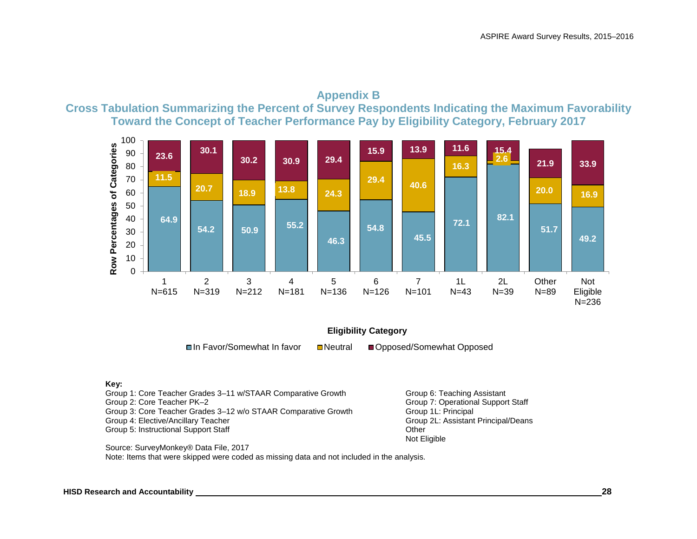



#### **Eligibility Category**

 $\blacksquare$ **In Favor/Somewhat In favor <br>
■Neutral ■Opposed/Somewhat Opposed** 

#### **Key:**

Group 1: Core Teacher Grades 3-11 w/STAAR Comparative Growth Group 6: Teaching Assistant Group 2: Core Teacher PK–2 Group 7: Operational Support Staff Group 3: Core Teacher Grades 3–12 w/o STAAR Comparative Growth Group 1L: Principal<br>Group 4: Elective/Ancillary Teacher Group 2L: Assistant Principal/Deans Group 4: Elective/Ancillary Teacher Group 2012 and Deans and Assistant Principal Scroup 2013 and Deans Princip<br>Group 5: Instructional Support Staff Group 2013 and Deans Principal Scriptism Cities Group 5: Instructional Support Staff

Not Eligible

Source: SurveyMonkey® Data File, 2017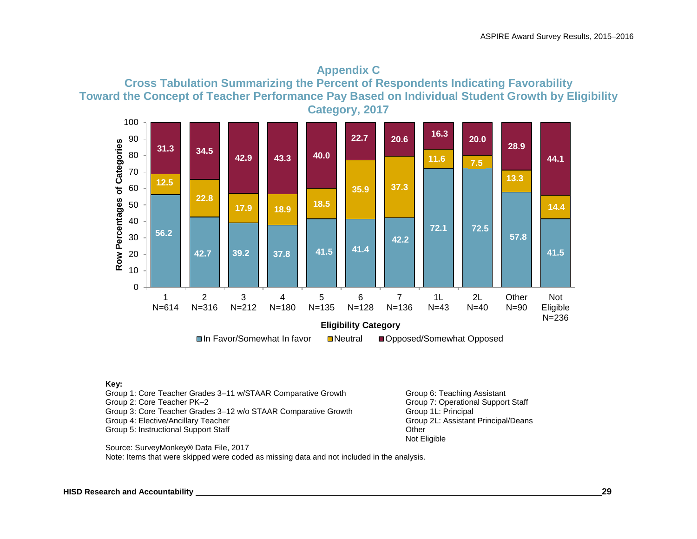



Group 1: Core Teacher Grades 3–11 w/STAAR Comparative Growth Group 6: Teaching Assistant Group 2: Core Teacher PK–2 Group 7: Operational Support Staff Group 3: Core Teacher Grades 3–12 w/o STAAR Comparative Growth Group 1L: Principal Group 1L: Assistant Group 2L: Assistant Group 5: Instructional Support Staff **Containers** Containers and Other Containers of the Containers of the Containers of the Containers of the Containers of the Containers of the Containers of the Containers of the Contain

Group 2L: Assistant Principal/Deans Not Eligible

Source: SurveyMonkey® Data File, 2017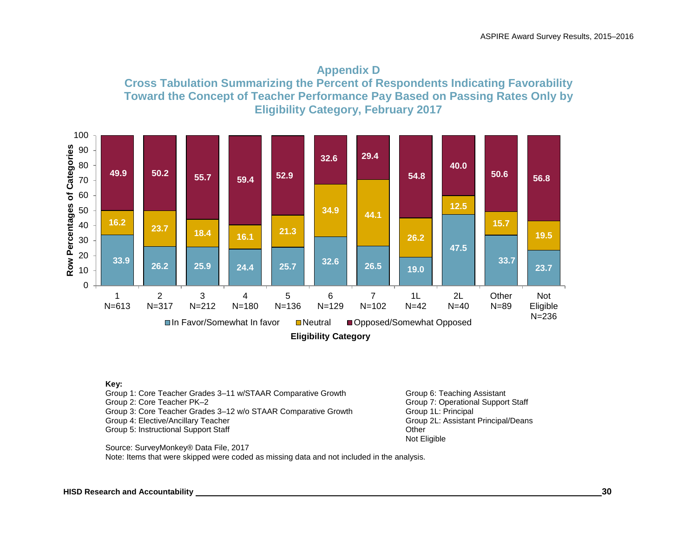



Group 1: Core Teacher Grades 3-11 w/STAAR Comparative Growth Group 6: Teaching Assistant Group 2: Core Teacher PK–2 Group 7: Operational Support Staff Group 3: Core Teacher Grades 3–12 w/o STAAR Comparative Growth Group 1L: Principal Group 1L: Assistant Group 1 Group 5: Instructional Support Staff **Containers** Containers and Other Containers of the Containers of the Containers of the Containers of the Containers of the Containers of the Containers of the Containers of the Contain

Group 2L: Assistant Principal/Deans Not Eligible

Source: SurveyMonkey® Data File, 2017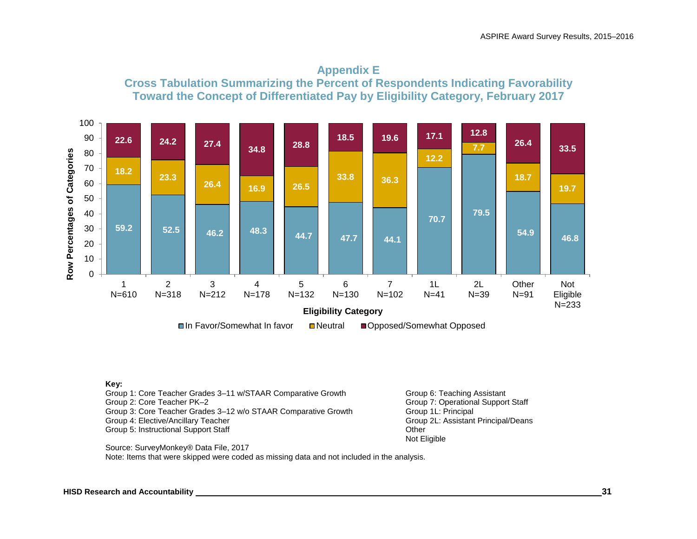



Group 1: Core Teacher Grades 3-11 w/STAAR Comparative Growth Group 6: Teaching Assistant Group 2: Core Teacher PK–2 Group 7: Operational Support Staff Group 3: Core Teacher Grades 3–12 w/o STAAR Comparative Growth Group 1L: Principal<br>Group 4: Elective/Ancillary Teacher Group 2L: Assistant Principal/Deans Group 4: Elective/Ancillary Teacher Group 5: Instructional Support Staff **Containers** Containers and Other Containers of the Containers of the Containers of the Containers of the Containers of the Containers of the Containers of the Containers of the Contain

Not Eligible

Source: SurveyMonkey® Data File, 2017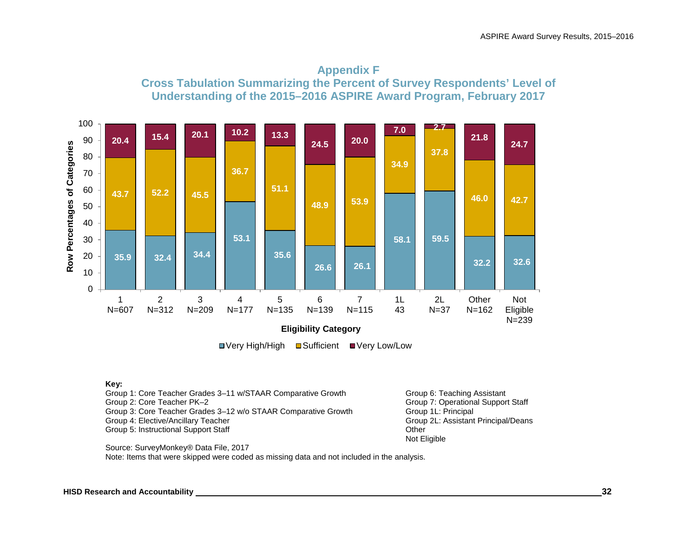



■ Very High/High ■ Sufficient ■ Very Low/Low

#### **Key:**

Group 1: Core Teacher Grades 3-11 w/STAAR Comparative Growth Group 6: Teaching Assistant Group 2: Core Teacher PK–2 Group 7: Operational Support Staff Group 3: Core Teacher Grades 3–12 w/o STAAR Comparative Growth Group 1L: Principal<br>Group 4: Elective/Ancillary Teacher Group 2L: Assistant Principal/Deans Group 4: Elective/Ancillary Teacher Group 2012 and Deans and Assistant Principal Scroup 2013 and Deans Princip<br>Group 5: Instructional Support Staff Group 2013 and Deans Principal Scriptism Cities Group 5: Instructional Support Staff

Not Eligible

Source: SurveyMonkey® Data File, 2017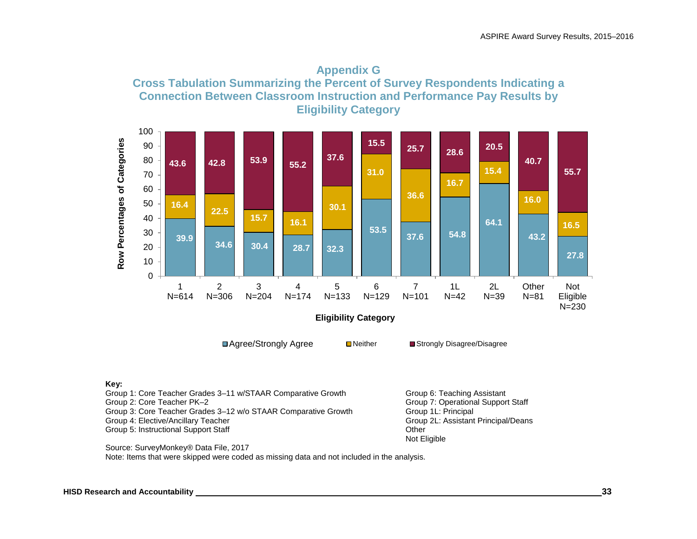



| Group 1: Core Teacher Grades 3–11 w/STAAR Comparative Growth   | Group 6: Teaching Assistant         |
|----------------------------------------------------------------|-------------------------------------|
| Group 2: Core Teacher PK–2                                     | Group 7: Operational Support Staff  |
| Group 3: Core Teacher Grades 3-12 w/o STAAR Comparative Growth | Group 1L: Principal                 |
| Group 4: Elective/Ancillary Teacher                            | Group 2L: Assistant Principal/Deans |
| Group 5: Instructional Support Staff                           | Other                               |
|                                                                | Not Eligible                        |

Source: SurveyMonkey® Data File, 2017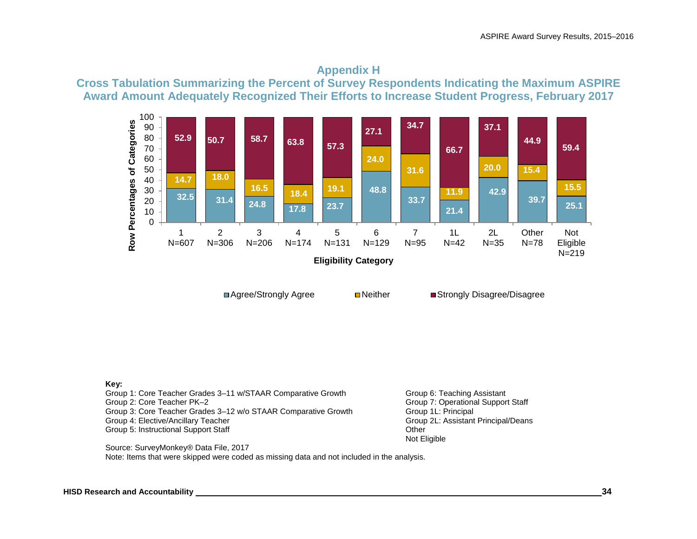## **Appendix H Cross Tabulation Summarizing the Percent of Survey Respondents Indicating the Maximum ASPIRE Award Amount Adequately Recognized Their Efforts to Increase Student Progress, February 2017**



**□Agree/Strongly Agree Neither Integrate Integrated Network** Strongly Disagree/Disagree

**Key:**

Group 1: Core Teacher Grades 3–11 w/STAAR Comparative Growth Group 6: Teaching Assistant Group 2: Core Teacher PK–2 Group 7: Operational Support Staff Group 3: Core Teacher Grades 3–12 w/o STAAR Comparative Growth Group 1L: Principal<br>Group 4: Elective/Ancillary Teacher Group 2L: Assistant Principal/Deans Group 4: Elective/Ancillary Teacher Group 5: Instructional Support Staff **Containers** Containers and Other Containers of the Containers of the Containers of the Containers of the Containers of the Containers of the Containers of the Containers of the Contain

Not Eligible

Source: SurveyMonkey® Data File, 2017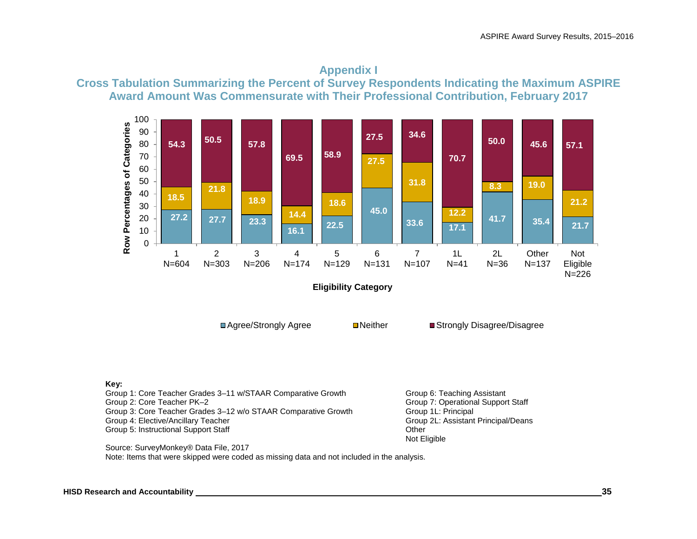



Group 1: Core Teacher Grades 3-11 w/STAAR Comparative Growth Group 6: Teaching Assistant Group 2: Core Teacher PK–2 Group 7: Operational Support Staff Group 3: Core Teacher Grades 3–12 w/o STAAR Comparative Growth Group 1L: Principal<br>Group 4: Elective/Ancillary Teacher Group 2L: Assistant Principal/Deans Group 4: Elective/Ancillary Teacher Group 5: Instructional Support Staff **Containers** Containers and Other Containers of the Containers of the Containers of the Containers of the Containers of the Containers of the Containers of the Containers of the Contain

Not Eligible

Source: SurveyMonkey® Data File, 2017